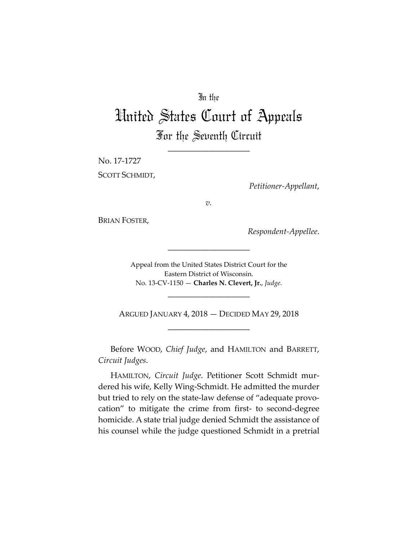## In the

# United States Court of Appeals For the Seventh Circuit

\_\_\_\_\_\_\_\_\_\_\_\_\_\_\_\_\_\_\_\_

No. 17-1727 SCOTT SCHMIDT,

*Petitioner-Appellant*,

*v.*

BRIAN FOSTER,

*Respondent-Appellee*.

Appeal from the United States District Court for the Eastern District of Wisconsin. No. 13-CV-1150 — **Charles N. Clevert, Jr.**, *Judge*.

\_\_\_\_\_\_\_\_\_\_\_\_\_\_\_\_\_\_\_\_

\_\_\_\_\_\_\_\_\_\_\_\_\_\_\_\_\_\_\_\_

ARGUED JANUARY 4, 2018 — DECIDED MAY 29, 2018 \_\_\_\_\_\_\_\_\_\_\_\_\_\_\_\_\_\_\_\_

Before WOOD, *Chief Judge*, and HAMILTON and BARRETT, *Circuit Judges*.

HAMILTON, *Circuit Judge*. Petitioner Scott Schmidt murdered his wife, Kelly Wing-Schmidt. He admitted the murder but tried to rely on the state-law defense of "adequate provocation" to mitigate the crime from first- to second-degree homicide. A state trial judge denied Schmidt the assistance of his counsel while the judge questioned Schmidt in a pretrial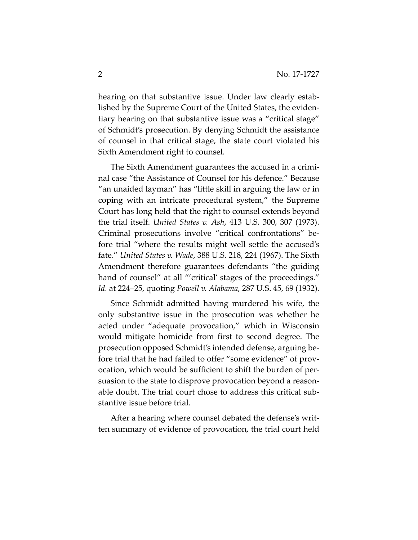hearing on that substantive issue. Under law clearly established by the Supreme Court of the United States, the evidentiary hearing on that substantive issue was a "critical stage" of Schmidt's prosecution. By denying Schmidt the assistance of counsel in that critical stage, the state court violated his Sixth Amendment right to counsel.

The Sixth Amendment guarantees the accused in a criminal case "the Assistance of Counsel for his defence." Because "an unaided layman" has "little skill in arguing the law or in coping with an intricate procedural system," the Supreme Court has long held that the right to counsel extends beyond the trial itself. *United States v. Ash*, 413 U.S. 300, 307 (1973). Criminal prosecutions involve "critical confrontations" before trial "where the results might well settle the accused's fate." *United States v. Wade*, 388 U.S. 218, 224 (1967). The Sixth Amendment therefore guarantees defendants "the guiding hand of counsel" at all "'critical' stages of the proceedings." *Id.* at 224–25, quoting *Powell v. Alabama*, 287 U.S. 45, 69 (1932).

Since Schmidt admitted having murdered his wife, the only substantive issue in the prosecution was whether he acted under "adequate provocation," which in Wisconsin would mitigate homicide from first to second degree. The prosecution opposed Schmidt's intended defense, arguing before trial that he had failed to offer "some evidence" of provocation, which would be sufficient to shift the burden of persuasion to the state to disprove provocation beyond a reasonable doubt. The trial court chose to address this critical substantive issue before trial.

After a hearing where counsel debated the defense's written summary of evidence of provocation, the trial court held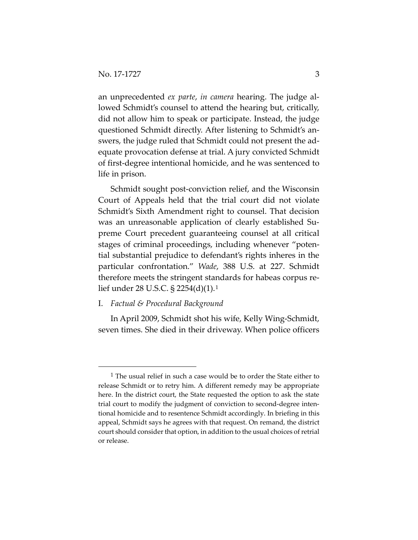an unprecedented *ex parte*, *in camera* hearing. The judge allowed Schmidt's counsel to attend the hearing but, critically, did not allow him to speak or participate. Instead, the judge questioned Schmidt directly. After listening to Schmidt's answers, the judge ruled that Schmidt could not present the adequate provocation defense at trial. A jury convicted Schmidt of first-degree intentional homicide, and he was sentenced to life in prison.

Schmidt sought post-conviction relief, and the Wisconsin Court of Appeals held that the trial court did not violate Schmidt's Sixth Amendment right to counsel. That decision was an unreasonable application of clearly established Supreme Court precedent guaranteeing counsel at all critical stages of criminal proceedings, including whenever "potential substantial prejudice to defendant's rights inheres in the particular confrontation." *Wade*, 388 U.S. at 227. Schmidt therefore meets the stringent standards for habeas corpus relief under 28 U.S.C. § 2254(d)(1).[1](#page-2-0)

## I. *Factual & Procedural Background*

In April 2009, Schmidt shot his wife, Kelly Wing-Schmidt, seven times. She died in their driveway. When police officers

<span id="page-2-0"></span> $1$  The usual relief in such a case would be to order the State either to release Schmidt or to retry him. A different remedy may be appropriate here. In the district court, the State requested the option to ask the state trial court to modify the judgment of conviction to second-degree intentional homicide and to resentence Schmidt accordingly. In briefing in this appeal, Schmidt says he agrees with that request. On remand, the district court should consider that option, in addition to the usual choices of retrial or release.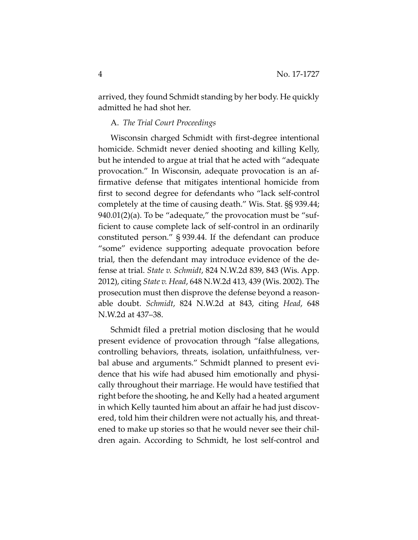arrived, they found Schmidt standing by her body. He quickly admitted he had shot her.

## A. *The Trial Court Proceedings*

Wisconsin charged Schmidt with first-degree intentional homicide. Schmidt never denied shooting and killing Kelly, but he intended to argue at trial that he acted with "adequate provocation." In Wisconsin, adequate provocation is an affirmative defense that mitigates intentional homicide from first to second degree for defendants who "lack self-control completely at the time of causing death." Wis. Stat. §§ 939.44;  $940.01(2)(a)$ . To be "adequate," the provocation must be "sufficient to cause complete lack of self-control in an ordinarily constituted person." § 939.44. If the defendant can produce "some" evidence supporting adequate provocation before trial, then the defendant may introduce evidence of the defense at trial. *State v. Schmidt*, 824 N.W.2d 839, 843 (Wis. App. 2012), citing *State v. Head*, 648 N.W.2d 413, 439 (Wis. 2002). The prosecution must then disprove the defense beyond a reasonable doubt. *Schmidt*, 824 N.W.2d at 843, citing *Head*, 648 N.W.2d at 437–38.

Schmidt filed a pretrial motion disclosing that he would present evidence of provocation through "false allegations, controlling behaviors, threats, isolation, unfaithfulness, verbal abuse and arguments." Schmidt planned to present evidence that his wife had abused him emotionally and physically throughout their marriage. He would have testified that right before the shooting, he and Kelly had a heated argument in which Kelly taunted him about an affair he had just discovered, told him their children were not actually his, and threatened to make up stories so that he would never see their children again. According to Schmidt, he lost self-control and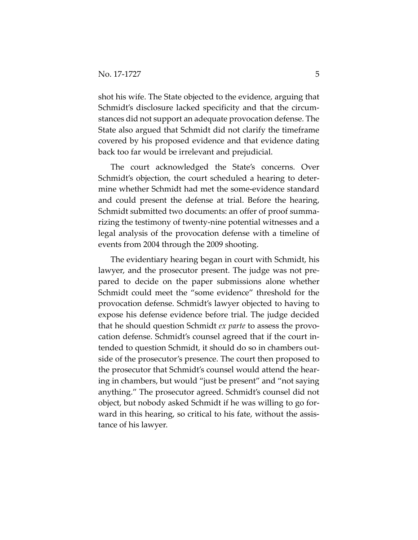shot his wife. The State objected to the evidence, arguing that Schmidt's disclosure lacked specificity and that the circumstances did not support an adequate provocation defense. The State also argued that Schmidt did not clarify the timeframe covered by his proposed evidence and that evidence dating back too far would be irrelevant and prejudicial.

The court acknowledged the State's concerns. Over Schmidt's objection, the court scheduled a hearing to determine whether Schmidt had met the some-evidence standard and could present the defense at trial. Before the hearing, Schmidt submitted two documents: an offer of proof summarizing the testimony of twenty-nine potential witnesses and a legal analysis of the provocation defense with a timeline of events from 2004 through the 2009 shooting.

The evidentiary hearing began in court with Schmidt, his lawyer, and the prosecutor present. The judge was not prepared to decide on the paper submissions alone whether Schmidt could meet the "some evidence" threshold for the provocation defense. Schmidt's lawyer objected to having to expose his defense evidence before trial. The judge decided that he should question Schmidt *ex parte* to assess the provocation defense. Schmidt's counsel agreed that if the court intended to question Schmidt, it should do so in chambers outside of the prosecutor's presence. The court then proposed to the prosecutor that Schmidt's counsel would attend the hearing in chambers, but would "just be present" and "not saying anything." The prosecutor agreed. Schmidt's counsel did not object, but nobody asked Schmidt if he was willing to go forward in this hearing, so critical to his fate, without the assistance of his lawyer.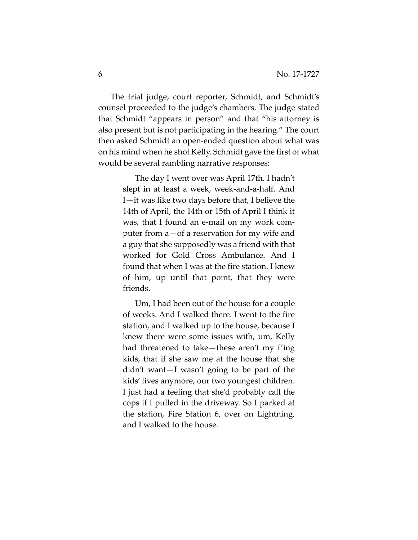The trial judge, court reporter, Schmidt, and Schmidt's counsel proceeded to the judge's chambers. The judge stated that Schmidt "appears in person" and that "his attorney is also present but is not participating in the hearing." The court then asked Schmidt an open-ended question about what was on his mind when he shot Kelly. Schmidt gave the first of what would be several rambling narrative responses:

> The day I went over was April 17th. I hadn't slept in at least a week, week-and-a-half. And I—it was like two days before that, I believe the 14th of April, the 14th or 15th of April I think it was, that I found an e-mail on my work computer from a—of a reservation for my wife and a guy that she supposedly was a friend with that worked for Gold Cross Ambulance. And I found that when I was at the fire station. I knew of him, up until that point, that they were friends.

> Um, I had been out of the house for a couple of weeks. And I walked there. I went to the fire station, and I walked up to the house, because I knew there were some issues with, um, Kelly had threatened to take—these aren't my f'ing kids, that if she saw me at the house that she didn't want—I wasn't going to be part of the kids' lives anymore, our two youngest children. I just had a feeling that she'd probably call the cops if I pulled in the driveway. So I parked at the station, Fire Station 6, over on Lightning, and I walked to the house.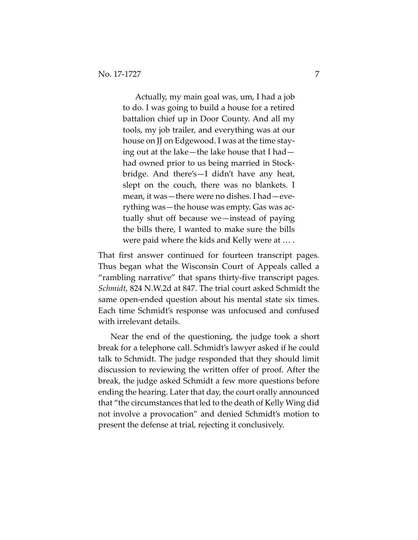Actually, my main goal was, um, I had a job to do. I was going to build a house for a retired battalion chief up in Door County. And all my tools, my job trailer, and everything was at our house on JJ on Edgewood. I was at the time staying out at the lake—the lake house that I had had owned prior to us being married in Stockbridge. And there's—I didn't have any heat, slept on the couch, there was no blankets. I mean, it was—there were no dishes. I had—everything was—the house was empty. Gas was actually shut off because we—instead of paying the bills there, I wanted to make sure the bills were paid where the kids and Kelly were at … .

That first answer continued for fourteen transcript pages. Thus began what the Wisconsin Court of Appeals called a "rambling narrative" that spans thirty-five transcript pages. *Schmidt*, 824 N.W.2d at 847. The trial court asked Schmidt the same open-ended question about his mental state six times. Each time Schmidt's response was unfocused and confused with irrelevant details.

Near the end of the questioning, the judge took a short break for a telephone call. Schmidt's lawyer asked if he could talk to Schmidt. The judge responded that they should limit discussion to reviewing the written offer of proof. After the break, the judge asked Schmidt a few more questions before ending the hearing. Later that day, the court orally announced that "the circumstances that led to the death of Kelly Wing did not involve a provocation" and denied Schmidt's motion to present the defense at trial, rejecting it conclusively.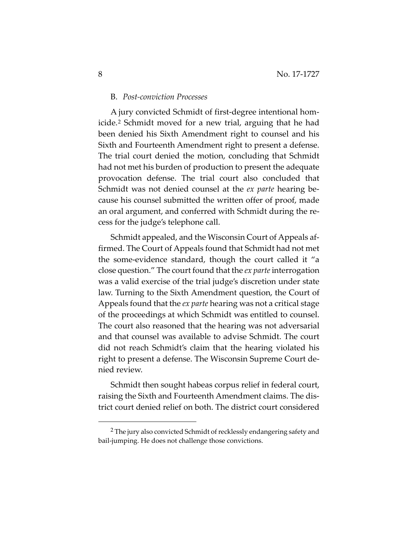#### B. *Post-conviction Processes*

A jury convicted Schmidt of first-degree intentional homicide.[2](#page-7-0) Schmidt moved for a new trial, arguing that he had been denied his Sixth Amendment right to counsel and his Sixth and Fourteenth Amendment right to present a defense. The trial court denied the motion, concluding that Schmidt had not met his burden of production to present the adequate provocation defense. The trial court also concluded that Schmidt was not denied counsel at the *ex parte* hearing because his counsel submitted the written offer of proof, made an oral argument, and conferred with Schmidt during the recess for the judge's telephone call.

Schmidt appealed, and the Wisconsin Court of Appeals affirmed. The Court of Appeals found that Schmidt had not met the some-evidence standard, though the court called it "a close question." The court found that the *ex parte* interrogation was a valid exercise of the trial judge's discretion under state law. Turning to the Sixth Amendment question, the Court of Appeals found that the *ex parte* hearing was not a critical stage of the proceedings at which Schmidt was entitled to counsel. The court also reasoned that the hearing was not adversarial and that counsel was available to advise Schmidt. The court did not reach Schmidt's claim that the hearing violated his right to present a defense. The Wisconsin Supreme Court denied review.

Schmidt then sought habeas corpus relief in federal court, raising the Sixth and Fourteenth Amendment claims. The district court denied relief on both. The district court considered

<span id="page-7-0"></span> <sup>2</sup> The jury also convicted Schmidt of recklessly endangering safety and bail-jumping. He does not challenge those convictions.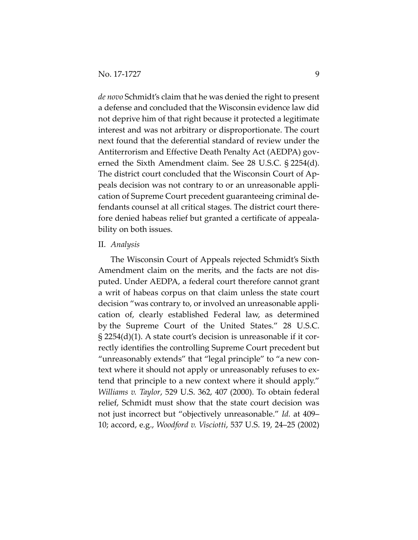*de novo* Schmidt's claim that he was denied the right to present a defense and concluded that the Wisconsin evidence law did not deprive him of that right because it protected a legitimate interest and was not arbitrary or disproportionate. The court next found that the deferential standard of review under the Antiterrorism and Effective Death Penalty Act (AEDPA) governed the Sixth Amendment claim. See 28 U.S.C. § 2254(d). The district court concluded that the Wisconsin Court of Appeals decision was not contrary to or an unreasonable application of Supreme Court precedent guaranteeing criminal defendants counsel at all critical stages. The district court therefore denied habeas relief but granted a certificate of appealability on both issues.

#### II. *Analysis*

The Wisconsin Court of Appeals rejected Schmidt's Sixth Amendment claim on the merits, and the facts are not disputed. Under AEDPA, a federal court therefore cannot grant a writ of habeas corpus on that claim unless the state court decision "was contrary to, or involved an unreasonable application of, clearly established Federal law, as determined by the Supreme Court of the United States." 28 U.S.C. § 2254(d)(1). A state court's decision is unreasonable if it correctly identifies the controlling Supreme Court precedent but "unreasonably extends" that "legal principle" to "a new context where it should not apply or unreasonably refuses to extend that principle to a new context where it should apply." *Williams v. Taylor*, 529 U.S. 362, 407 (2000). To obtain federal relief, Schmidt must show that the state court decision was not just incorrect but "objectively unreasonable." *Id.* at 409– 10; accord, e.g., *Woodford v. Visciotti*, 537 U.S. 19, 24–25 (2002)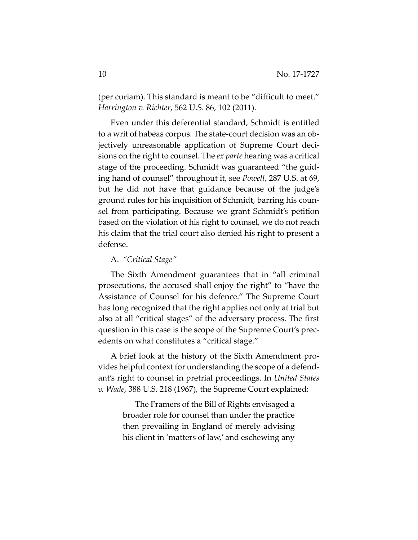(per curiam). This standard is meant to be "difficult to meet." *Harrington v. Richter*, 562 U.S. 86, 102 (2011).

Even under this deferential standard, Schmidt is entitled to a writ of habeas corpus. The state-court decision was an objectively unreasonable application of Supreme Court decisions on the right to counsel. The *ex parte* hearing was a critical stage of the proceeding. Schmidt was guaranteed "the guiding hand of counsel" throughout it, see *Powell*, 287 U.S. at 69, but he did not have that guidance because of the judge's ground rules for his inquisition of Schmidt, barring his counsel from participating. Because we grant Schmidt's petition based on the violation of his right to counsel, we do not reach his claim that the trial court also denied his right to present a defense.

## A. *"Critical Stage"*

The Sixth Amendment guarantees that in "all criminal prosecutions, the accused shall enjoy the right" to "have the Assistance of Counsel for his defence." The Supreme Court has long recognized that the right applies not only at trial but also at all "critical stages" of the adversary process. The first question in this case is the scope of the Supreme Court's precedents on what constitutes a "critical stage."

A brief look at the history of the Sixth Amendment provides helpful context for understanding the scope of a defendant's right to counsel in pretrial proceedings. In *United States v. Wade*, 388 U.S. 218 (1967), the Supreme Court explained:

> The Framers of the Bill of Rights envisaged a broader role for counsel than under the practice then prevailing in England of merely advising his client in 'matters of law,' and eschewing any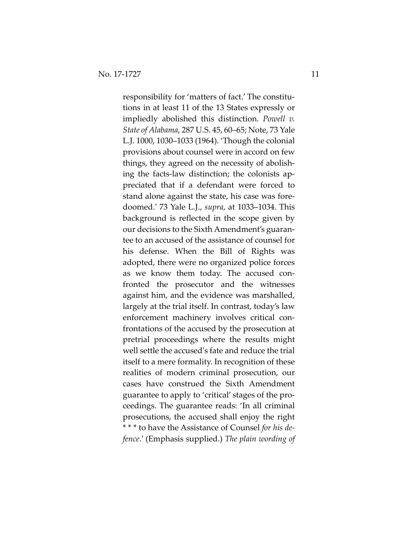responsibility for 'matters of fact.' The constitutions in at least 11 of the 13 States expressly or impliedly abolished this distinction. *Powell v. State of Alabama*, 287 U.S. 45, 60–65; Note, 73 Yale L.J. 1000, 1030–1033 (1964). 'Though the colonial provisions about counsel were in accord on few things, they agreed on the necessity of abolishing the facts-law distinction; the colonists appreciated that if a defendant were forced to stand alone against the state, his case was foredoomed.' 73 Yale L.J., *supra*, at 1033–1034. This background is reflected in the scope given by our decisions to the Sixth Amendment's guarantee to an accused of the assistance of counsel for his defense. When the Bill of Rights was adopted, there were no organized police forces as we know them today. The accused confronted the prosecutor and the witnesses against him, and the evidence was marshalled, largely at the trial itself. In contrast, today's law enforcement machinery involves critical confrontations of the accused by the prosecution at pretrial proceedings where the results might well settle the accused's fate and reduce the trial itself to a mere formality. In recognition of these realities of modern criminal prosecution, our cases have construed the Sixth Amendment guarantee to apply to 'critical' stages of the proceedings. The guarantee reads: 'In all criminal prosecutions, the accused shall enjoy the right \* \* \* to have the Assistance of Counsel *for his defence*.' (Emphasis supplied.) *The plain wording of*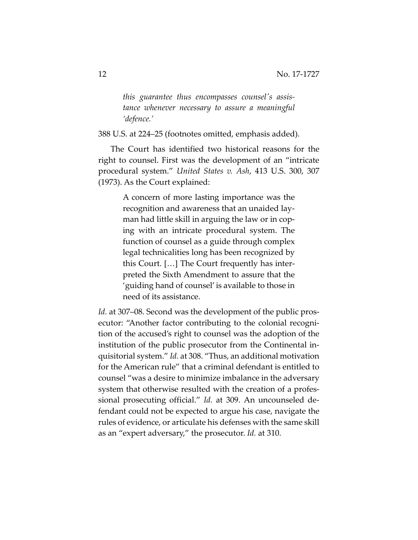*this guarantee thus encompasses counsel's assistance whenever necessary to assure a meaningful 'defence.'*

388 U.S. at 224–25 (footnotes omitted, emphasis added).

The Court has identified two historical reasons for the right to counsel. First was the development of an "intricate procedural system." *United States v. Ash*, 413 U.S. 300, 307 (1973). As the Court explained:

> A concern of more lasting importance was the recognition and awareness that an unaided layman had little skill in arguing the law or in coping with an intricate procedural system. The function of counsel as a guide through complex legal technicalities long has been recognized by this Court. […] The Court frequently has interpreted the Sixth Amendment to assure that the 'guiding hand of counsel' is available to those in need of its assistance.

*Id.* at 307–08. Second was the development of the public prosecutor: "Another factor contributing to the colonial recognition of the accused's right to counsel was the adoption of the institution of the public prosecutor from the Continental inquisitorial system." *Id.* at 308. "Thus, an additional motivation for the American rule" that a criminal defendant is entitled to counsel "was a desire to minimize imbalance in the adversary system that otherwise resulted with the creation of a professional prosecuting official." *Id.* at 309. An uncounseled defendant could not be expected to argue his case, navigate the rules of evidence, or articulate his defenses with the same skill as an "expert adversary," the prosecutor. *Id.* at 310.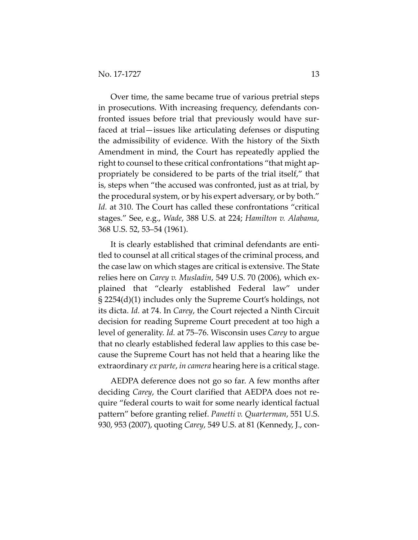Over time, the same became true of various pretrial steps in prosecutions. With increasing frequency, defendants confronted issues before trial that previously would have surfaced at trial—issues like articulating defenses or disputing the admissibility of evidence. With the history of the Sixth Amendment in mind, the Court has repeatedly applied the right to counsel to these critical confrontations "that might appropriately be considered to be parts of the trial itself," that is, steps when "the accused was confronted, just as at trial, by the procedural system, or by his expert adversary, or by both." *Id.* at 310. The Court has called these confrontations "critical stages." See, e.g., *Wade*, 388 U.S. at 224; *Hamilton v. Alabama*, 368 U.S. 52, 53–54 (1961).

It is clearly established that criminal defendants are entitled to counsel at all critical stages of the criminal process, and the case law on which stages are critical is extensive. The State relies here on *Carey v. Musladin*, 549 U.S. 70 (2006), which explained that "clearly established Federal law" under § 2254(d)(1) includes only the Supreme Court's holdings, not its dicta. *Id.* at 74. In *Carey*, the Court rejected a Ninth Circuit decision for reading Supreme Court precedent at too high a level of generality. *Id.* at 75–76. Wisconsin uses *Carey* to argue that no clearly established federal law applies to this case because the Supreme Court has not held that a hearing like the extraordinary *ex parte*, *in camera* hearing here is a critical stage.

AEDPA deference does not go so far. A few months after deciding *Carey*, the Court clarified that AEDPA does not require "federal courts to wait for some nearly identical factual pattern" before granting relief. *Panetti v. Quarterman*, 551 U.S. 930, 953 (2007), quoting *Carey*, 549 U.S. at 81 (Kennedy, J., con-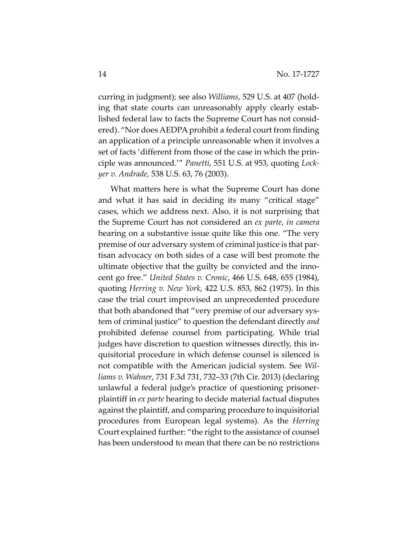curring in judgment); see also *Williams*, 529 U.S. at 407 (holding that state courts can unreasonably apply clearly established federal law to facts the Supreme Court has not considered). "Nor does AEDPA prohibit a federal court from finding an application of a principle unreasonable when it involves a set of facts 'different from those of the case in which the principle was announced.'" *Panetti*, 551 U.S. at 953, quoting *Lockyer v. Andrade*, 538 U.S. 63, 76 (2003).

What matters here is what the Supreme Court has done and what it has said in deciding its many "critical stage" cases, which we address next. Also, it is not surprising that the Supreme Court has not considered an *ex parte*, *in camera* hearing on a substantive issue quite like this one. "The very premise of our adversary system of criminal justice is that partisan advocacy on both sides of a case will best promote the ultimate objective that the guilty be convicted and the innocent go free." *United States v. Cronic*, 466 U.S. 648, 655 (1984), quoting *Herring v. New York*, 422 U.S. 853, 862 (1975). In this case the trial court improvised an unprecedented procedure that both abandoned that "very premise of our adversary system of criminal justice" to question the defendant directly *and* prohibited defense counsel from participating. While trial judges have discretion to question witnesses directly, this inquisitorial procedure in which defense counsel is silenced is not compatible with the American judicial system. See *Williams v. Wahner*, 731 F.3d 731, 732–33 (7th Cir. 2013) (declaring unlawful a federal judge's practice of questioning prisonerplaintiff in *ex parte* hearing to decide material factual disputes against the plaintiff, and comparing procedure to inquisitorial procedures from European legal systems). As the *Herring* Court explained further: "the right to the assistance of counsel has been understood to mean that there can be no restrictions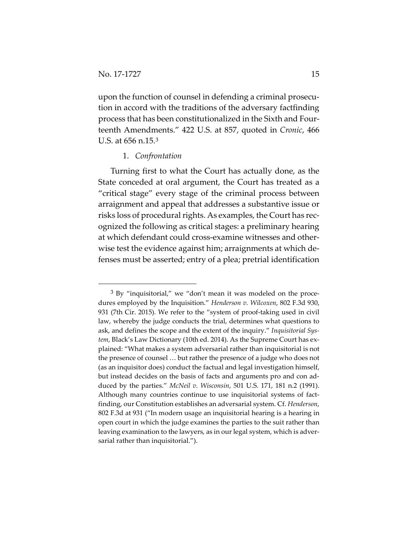$\overline{a}$ 

upon the function of counsel in defending a criminal prosecution in accord with the traditions of the adversary factfinding process that has been constitutionalized in the Sixth and Fourteenth Amendments." 422 U.S. at 857, quoted in *Cronic*, 466 U.S. at 656 n.15.[3](#page-14-0)

## 1. *Confrontation*

Turning first to what the Court has actually done, as the State conceded at oral argument, the Court has treated as a "critical stage" every stage of the criminal process between arraignment and appeal that addresses a substantive issue or risks loss of procedural rights. As examples, the Court has recognized the following as critical stages: a preliminary hearing at which defendant could cross-examine witnesses and otherwise test the evidence against him; arraignments at which defenses must be asserted; entry of a plea; pretrial identification

<span id="page-14-0"></span><sup>&</sup>lt;sup>3</sup> By "inquisitorial," we "don't mean it was modeled on the procedures employed by the Inquisition." *Henderson v. Wilcoxen*, 802 F.3d 930, 931 (7th Cir. 2015). We refer to the "system of proof-taking used in civil law, whereby the judge conducts the trial, determines what questions to ask, and defines the scope and the extent of the inquiry." *Inquisitorial System*, Black's Law Dictionary (10th ed. 2014). As the Supreme Court has explained: "What makes a system adversarial rather than inquisitorial is not the presence of counsel … but rather the presence of a judge who does not (as an inquisitor does) conduct the factual and legal investigation himself, but instead decides on the basis of facts and arguments pro and con adduced by the parties." *McNeil v. Wisconsin*, 501 U.S. 171, 181 n.2 (1991). Although many countries continue to use inquisitorial systems of factfinding, our Constitution establishes an adversarial system. Cf. *Henderson*, 802 F.3d at 931 ("In modern usage an inquisitorial hearing is a hearing in open court in which the judge examines the parties to the suit rather than leaving examination to the lawyers, as in our legal system, which is adversarial rather than inquisitorial.").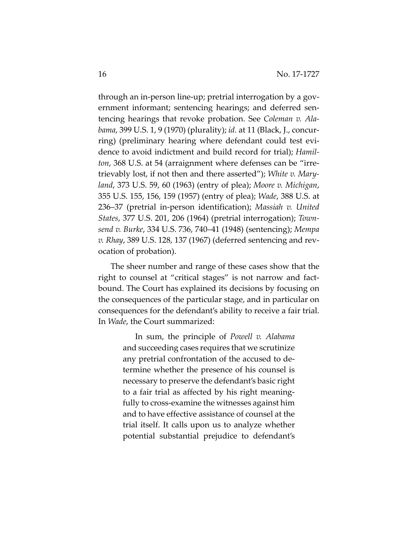through an in-person line-up; pretrial interrogation by a government informant; sentencing hearings; and deferred sentencing hearings that revoke probation. See *Coleman v. Alabama*, 399 U.S. 1, 9 (1970) (plurality); *id.* at 11 (Black, J., concurring) (preliminary hearing where defendant could test evidence to avoid indictment and build record for trial); *Hamilton*, 368 U.S. at 54 (arraignment where defenses can be "irretrievably lost, if not then and there asserted"); *White v. Maryland*, 373 U.S. 59, 60 (1963) (entry of plea); *Moore v. Michigan*, 355 U.S. 155, 156, 159 (1957) (entry of plea); *Wade*, 388 U.S. at 236–37 (pretrial in-person identification); *Massiah v. United States*, 377 U.S. 201, 206 (1964) (pretrial interrogation); *Townsend v. Burke*, 334 U.S. 736, 740–41 (1948) (sentencing); *Mempa v. Rhay*, 389 U.S. 128, 137 (1967) (deferred sentencing and revocation of probation).

The sheer number and range of these cases show that the right to counsel at "critical stages" is not narrow and factbound. The Court has explained its decisions by focusing on the consequences of the particular stage, and in particular on consequences for the defendant's ability to receive a fair trial. In *Wade*, the Court summarized:

> In sum, the principle of *Powell v. Alabama* and succeeding cases requires that we scrutinize any pretrial confrontation of the accused to determine whether the presence of his counsel is necessary to preserve the defendant's basic right to a fair trial as affected by his right meaningfully to cross-examine the witnesses against him and to have effective assistance of counsel at the trial itself. It calls upon us to analyze whether potential substantial prejudice to defendant's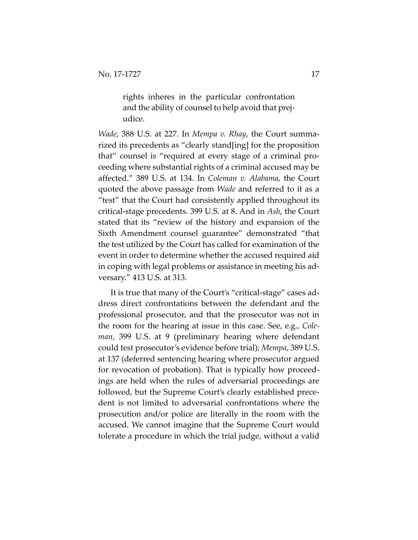rights inheres in the particular confrontation and the ability of counsel to help avoid that prejudice.

*Wade*, 388 U.S. at 227. In *Mempa v. Rhay*, the Court summarized its precedents as "clearly stand[ing] for the proposition that" counsel is "required at every stage of a criminal proceeding where substantial rights of a criminal accused may be affected." 389 U.S. at 134. In *Coleman v. Alabama*, the Court quoted the above passage from *Wade* and referred to it as a "test" that the Court had consistently applied throughout its critical-stage precedents. 399 U.S. at 8. And in *Ash*, the Court stated that its "review of the history and expansion of the Sixth Amendment counsel guarantee" demonstrated "that the test utilized by the Court has called for examination of the event in order to determine whether the accused required aid in coping with legal problems or assistance in meeting his adversary." 413 U.S. at 313.

It is true that many of the Court's "critical-stage" cases address direct confrontations between the defendant and the professional prosecutor, and that the prosecutor was not in the room for the hearing at issue in this case. See, e.g., *Coleman*, 399 U.S. at 9 (preliminary hearing where defendant could test prosecutor's evidence before trial); *Mempa*, 389 U.S. at 137 (deferred sentencing hearing where prosecutor argued for revocation of probation). That is typically how proceedings are held when the rules of adversarial proceedings are followed, but the Supreme Court's clearly established precedent is not limited to adversarial confrontations where the prosecution and/or police are literally in the room with the accused. We cannot imagine that the Supreme Court would tolerate a procedure in which the trial judge, without a valid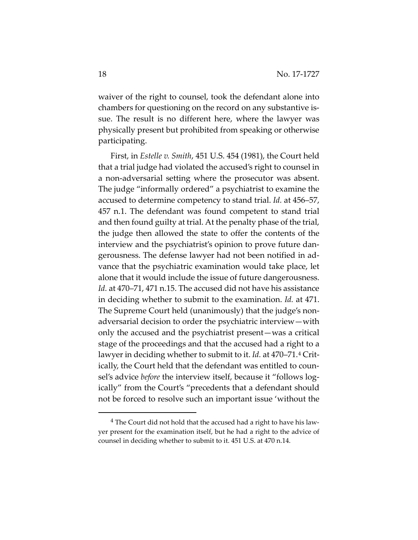waiver of the right to counsel, took the defendant alone into chambers for questioning on the record on any substantive issue. The result is no different here, where the lawyer was physically present but prohibited from speaking or otherwise participating.

First, in *Estelle v. Smith*, 451 U.S. 454 (1981), the Court held that a trial judge had violated the accused's right to counsel in a non-adversarial setting where the prosecutor was absent. The judge "informally ordered" a psychiatrist to examine the accused to determine competency to stand trial. *Id.* at 456–57, 457 n.1. The defendant was found competent to stand trial and then found guilty at trial. At the penalty phase of the trial, the judge then allowed the state to offer the contents of the interview and the psychiatrist's opinion to prove future dangerousness. The defense lawyer had not been notified in advance that the psychiatric examination would take place, let alone that it would include the issue of future dangerousness. *Id.* at 470–71, 471 n.15. The accused did not have his assistance in deciding whether to submit to the examination. *Id.* at 471. The Supreme Court held (unanimously) that the judge's nonadversarial decision to order the psychiatric interview—with only the accused and the psychiatrist present—was a critical stage of the proceedings and that the accused had a right to a lawyer in deciding whether to submit to it. *Id.* at 470–71.[4](#page-17-0) Critically, the Court held that the defendant was entitled to counsel's advice *before* the interview itself, because it "follows logically" from the Court's "precedents that a defendant should not be forced to resolve such an important issue 'without the

<span id="page-17-0"></span><sup>&</sup>lt;sup>4</sup> The Court did not hold that the accused had a right to have his lawyer present for the examination itself, but he had a right to the advice of counsel in deciding whether to submit to it. 451 U.S. at 470 n.14.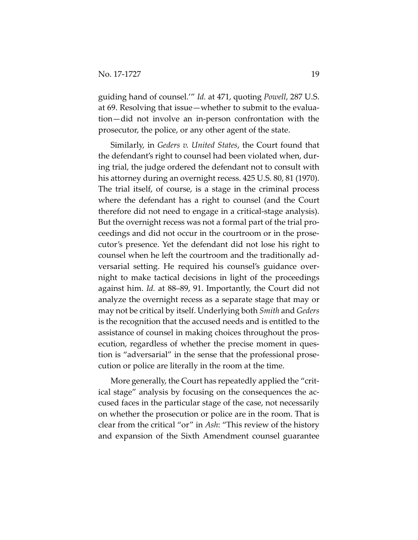guiding hand of counsel.'" *Id.* at 471, quoting *Powell*, 287 U.S. at 69. Resolving that issue—whether to submit to the evaluation—did not involve an in-person confrontation with the prosecutor, the police, or any other agent of the state.

Similarly, in *Geders v. United States*, the Court found that the defendant's right to counsel had been violated when, during trial, the judge ordered the defendant not to consult with his attorney during an overnight recess. 425 U.S. 80, 81 (1970). The trial itself, of course, is a stage in the criminal process where the defendant has a right to counsel (and the Court therefore did not need to engage in a critical-stage analysis). But the overnight recess was not a formal part of the trial proceedings and did not occur in the courtroom or in the prosecutor's presence. Yet the defendant did not lose his right to counsel when he left the courtroom and the traditionally adversarial setting. He required his counsel's guidance overnight to make tactical decisions in light of the proceedings against him. *Id.* at 88–89, 91. Importantly, the Court did not analyze the overnight recess as a separate stage that may or may not be critical by itself. Underlying both *Smith* and *Geders* is the recognition that the accused needs and is entitled to the assistance of counsel in making choices throughout the prosecution, regardless of whether the precise moment in question is "adversarial" in the sense that the professional prosecution or police are literally in the room at the time.

More generally, the Court has repeatedly applied the "critical stage" analysis by focusing on the consequences the accused faces in the particular stage of the case, not necessarily on whether the prosecution or police are in the room. That is clear from the critical "or" in *Ash*: "This review of the history and expansion of the Sixth Amendment counsel guarantee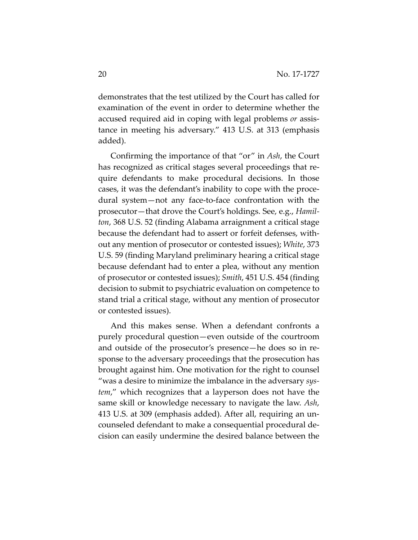demonstrates that the test utilized by the Court has called for examination of the event in order to determine whether the accused required aid in coping with legal problems *or* assistance in meeting his adversary." 413 U.S. at 313 (emphasis added).

Confirming the importance of that "or" in *Ash*, the Court has recognized as critical stages several proceedings that require defendants to make procedural decisions. In those cases, it was the defendant's inability to cope with the procedural system—not any face-to-face confrontation with the prosecutor—that drove the Court's holdings. See, e.g., *Hamilton*, 368 U.S. 52 (finding Alabama arraignment a critical stage because the defendant had to assert or forfeit defenses, without any mention of prosecutor or contested issues); *White*, 373 U.S. 59 (finding Maryland preliminary hearing a critical stage because defendant had to enter a plea, without any mention of prosecutor or contested issues); *Smith*, 451 U.S. 454 (finding decision to submit to psychiatric evaluation on competence to stand trial a critical stage, without any mention of prosecutor or contested issues).

And this makes sense. When a defendant confronts a purely procedural question—even outside of the courtroom and outside of the prosecutor's presence—he does so in response to the adversary proceedings that the prosecution has brought against him. One motivation for the right to counsel "was a desire to minimize the imbalance in the adversary *system*," which recognizes that a layperson does not have the same skill or knowledge necessary to navigate the law. *Ash*, 413 U.S. at 309 (emphasis added). After all, requiring an uncounseled defendant to make a consequential procedural decision can easily undermine the desired balance between the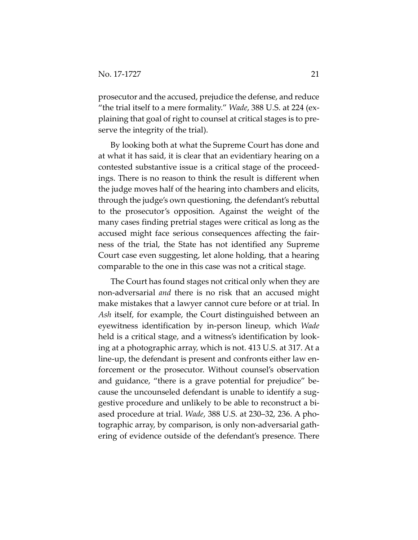prosecutor and the accused, prejudice the defense, and reduce "the trial itself to a mere formality." *Wade*, 388 U.S. at 224 (explaining that goal of right to counsel at critical stages is to preserve the integrity of the trial).

By looking both at what the Supreme Court has done and at what it has said, it is clear that an evidentiary hearing on a contested substantive issue is a critical stage of the proceedings. There is no reason to think the result is different when the judge moves half of the hearing into chambers and elicits, through the judge's own questioning, the defendant's rebuttal to the prosecutor's opposition. Against the weight of the many cases finding pretrial stages were critical as long as the accused might face serious consequences affecting the fairness of the trial, the State has not identified any Supreme Court case even suggesting, let alone holding, that a hearing comparable to the one in this case was not a critical stage.

The Court has found stages not critical only when they are non-adversarial *and* there is no risk that an accused might make mistakes that a lawyer cannot cure before or at trial. In *Ash* itself, for example, the Court distinguished between an eyewitness identification by in-person lineup, which *Wade* held is a critical stage, and a witness's identification by looking at a photographic array, which is not. 413 U.S. at 317. At a line-up, the defendant is present and confronts either law enforcement or the prosecutor. Without counsel's observation and guidance, "there is a grave potential for prejudice" because the uncounseled defendant is unable to identify a suggestive procedure and unlikely to be able to reconstruct a biased procedure at trial. *Wade*, 388 U.S. at 230–32, 236. A photographic array, by comparison, is only non-adversarial gathering of evidence outside of the defendant's presence. There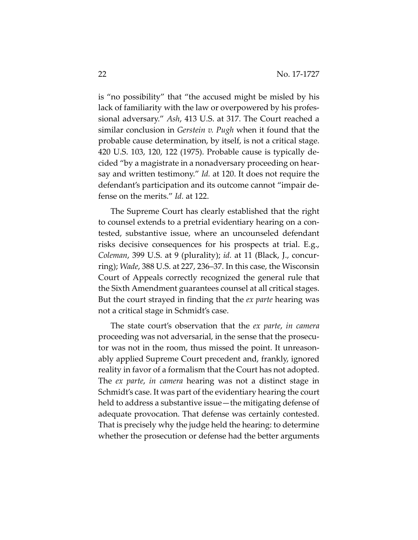is "no possibility" that "the accused might be misled by his lack of familiarity with the law or overpowered by his professional adversary." *Ash*, 413 U.S. at 317. The Court reached a similar conclusion in *Gerstein v. Pugh* when it found that the probable cause determination, by itself, is not a critical stage. 420 U.S. 103, 120, 122 (1975). Probable cause is typically decided "by a magistrate in a nonadversary proceeding on hearsay and written testimony." *Id.* at 120. It does not require the defendant's participation and its outcome cannot "impair defense on the merits." *Id.* at 122.

The Supreme Court has clearly established that the right to counsel extends to a pretrial evidentiary hearing on a contested, substantive issue, where an uncounseled defendant risks decisive consequences for his prospects at trial. E.g., *Coleman*, 399 U.S. at 9 (plurality); *id.* at 11 (Black, J., concurring); *Wade*, 388 U.S. at 227, 236–37. In this case, the Wisconsin Court of Appeals correctly recognized the general rule that the Sixth Amendment guarantees counsel at all critical stages. But the court strayed in finding that the *ex parte* hearing was not a critical stage in Schmidt's case.

The state court's observation that the *ex parte*, *in camera* proceeding was not adversarial, in the sense that the prosecutor was not in the room, thus missed the point. It unreasonably applied Supreme Court precedent and, frankly, ignored reality in favor of a formalism that the Court has not adopted. The *ex parte*, *in camera* hearing was not a distinct stage in Schmidt's case. It was part of the evidentiary hearing the court held to address a substantive issue—the mitigating defense of adequate provocation. That defense was certainly contested. That is precisely why the judge held the hearing: to determine whether the prosecution or defense had the better arguments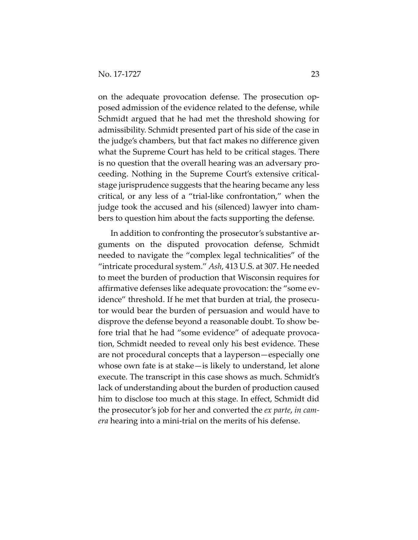on the adequate provocation defense. The prosecution opposed admission of the evidence related to the defense, while Schmidt argued that he had met the threshold showing for admissibility. Schmidt presented part of his side of the case in the judge's chambers, but that fact makes no difference given what the Supreme Court has held to be critical stages. There is no question that the overall hearing was an adversary proceeding. Nothing in the Supreme Court's extensive criticalstage jurisprudence suggests that the hearing became any less critical, or any less of a "trial-like confrontation," when the judge took the accused and his (silenced) lawyer into chambers to question him about the facts supporting the defense.

In addition to confronting the prosecutor's substantive arguments on the disputed provocation defense, Schmidt needed to navigate the "complex legal technicalities" of the "intricate procedural system." *Ash*, 413 U.S. at 307. He needed to meet the burden of production that Wisconsin requires for affirmative defenses like adequate provocation: the "some evidence" threshold. If he met that burden at trial, the prosecutor would bear the burden of persuasion and would have to disprove the defense beyond a reasonable doubt. To show before trial that he had "some evidence" of adequate provocation, Schmidt needed to reveal only his best evidence. These are not procedural concepts that a layperson—especially one whose own fate is at stake—is likely to understand, let alone execute. The transcript in this case shows as much. Schmidt's lack of understanding about the burden of production caused him to disclose too much at this stage. In effect, Schmidt did the prosecutor's job for her and converted the *ex parte*, *in camera* hearing into a mini-trial on the merits of his defense.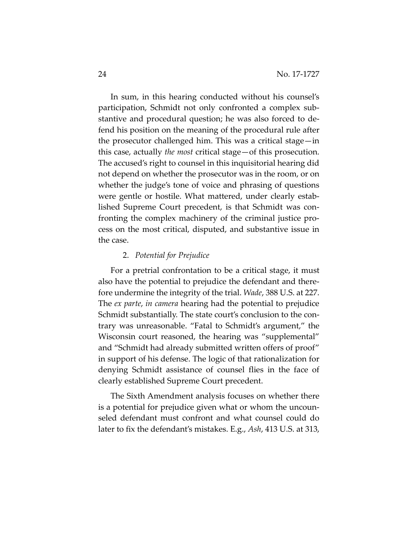In sum, in this hearing conducted without his counsel's participation, Schmidt not only confronted a complex substantive and procedural question; he was also forced to defend his position on the meaning of the procedural rule after the prosecutor challenged him. This was a critical stage—in this case, actually *the most* critical stage—of this prosecution. The accused's right to counsel in this inquisitorial hearing did not depend on whether the prosecutor was in the room, or on whether the judge's tone of voice and phrasing of questions were gentle or hostile. What mattered, under clearly established Supreme Court precedent, is that Schmidt was confronting the complex machinery of the criminal justice process on the most critical, disputed, and substantive issue in the case.

#### 2. *Potential for Prejudice*

For a pretrial confrontation to be a critical stage, it must also have the potential to prejudice the defendant and therefore undermine the integrity of the trial. *Wade*, 388 U.S. at 227. The *ex parte*, *in camera* hearing had the potential to prejudice Schmidt substantially. The state court's conclusion to the contrary was unreasonable. "Fatal to Schmidt's argument," the Wisconsin court reasoned, the hearing was "supplemental" and "Schmidt had already submitted written offers of proof" in support of his defense. The logic of that rationalization for denying Schmidt assistance of counsel flies in the face of clearly established Supreme Court precedent.

The Sixth Amendment analysis focuses on whether there is a potential for prejudice given what or whom the uncounseled defendant must confront and what counsel could do later to fix the defendant's mistakes. E.g., *Ash*, 413 U.S. at 313,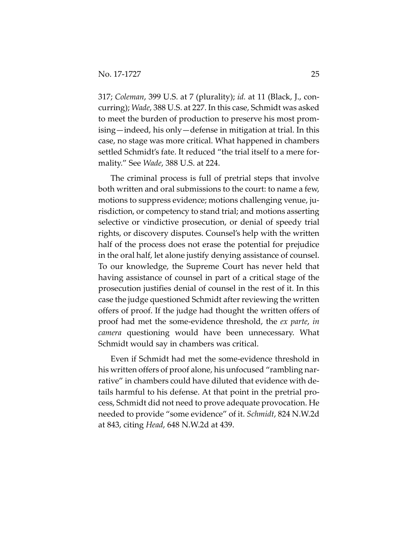317; *Coleman*, 399 U.S. at 7 (plurality); *id.* at 11 (Black, J., concurring); *Wade*, 388 U.S. at 227. In this case, Schmidt was asked to meet the burden of production to preserve his most promising—indeed, his only—defense in mitigation at trial. In this case, no stage was more critical. What happened in chambers settled Schmidt's fate. It reduced "the trial itself to a mere formality." See *Wade*, 388 U.S. at 224.

The criminal process is full of pretrial steps that involve both written and oral submissions to the court: to name a few, motions to suppress evidence; motions challenging venue, jurisdiction, or competency to stand trial; and motions asserting selective or vindictive prosecution, or denial of speedy trial rights, or discovery disputes. Counsel's help with the written half of the process does not erase the potential for prejudice in the oral half, let alone justify denying assistance of counsel. To our knowledge, the Supreme Court has never held that having assistance of counsel in part of a critical stage of the prosecution justifies denial of counsel in the rest of it. In this case the judge questioned Schmidt after reviewing the written offers of proof. If the judge had thought the written offers of proof had met the some-evidence threshold, the *ex parte*, *in camera* questioning would have been unnecessary. What Schmidt would say in chambers was critical.

Even if Schmidt had met the some-evidence threshold in his written offers of proof alone, his unfocused "rambling narrative" in chambers could have diluted that evidence with details harmful to his defense. At that point in the pretrial process, Schmidt did not need to prove adequate provocation. He needed to provide "some evidence" of it. *Schmidt*, 824 N.W.2d at 843, citing *Head*, 648 N.W.2d at 439.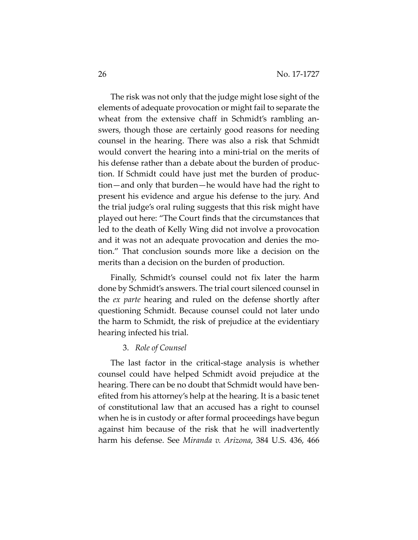The risk was not only that the judge might lose sight of the elements of adequate provocation or might fail to separate the wheat from the extensive chaff in Schmidt's rambling answers, though those are certainly good reasons for needing counsel in the hearing. There was also a risk that Schmidt would convert the hearing into a mini-trial on the merits of his defense rather than a debate about the burden of production. If Schmidt could have just met the burden of production—and only that burden—he would have had the right to present his evidence and argue his defense to the jury. And the trial judge's oral ruling suggests that this risk might have played out here: "The Court finds that the circumstances that led to the death of Kelly Wing did not involve a provocation and it was not an adequate provocation and denies the motion." That conclusion sounds more like a decision on the merits than a decision on the burden of production.

Finally, Schmidt's counsel could not fix later the harm done by Schmidt's answers. The trial court silenced counsel in the *ex parte* hearing and ruled on the defense shortly after questioning Schmidt. Because counsel could not later undo the harm to Schmidt, the risk of prejudice at the evidentiary hearing infected his trial.

#### 3. *Role of Counsel*

The last factor in the critical-stage analysis is whether counsel could have helped Schmidt avoid prejudice at the hearing. There can be no doubt that Schmidt would have benefited from his attorney's help at the hearing. It is a basic tenet of constitutional law that an accused has a right to counsel when he is in custody or after formal proceedings have begun against him because of the risk that he will inadvertently harm his defense. See *Miranda v. Arizona*, 384 U.S. 436, 466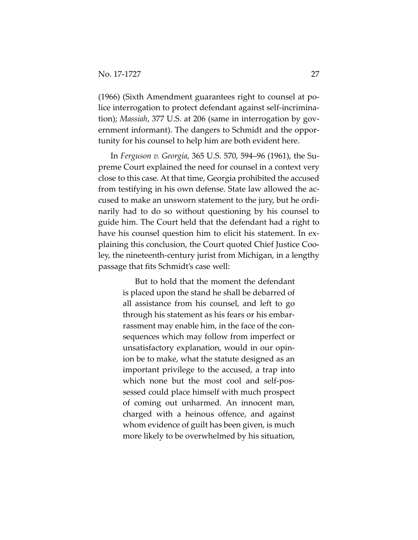(1966) (Sixth Amendment guarantees right to counsel at police interrogation to protect defendant against self-incrimination); *Massiah*, 377 U.S. at 206 (same in interrogation by government informant). The dangers to Schmidt and the opportunity for his counsel to help him are both evident here.

In *Ferguson v. Georgia*, 365 U.S. 570, 594–96 (1961), the Supreme Court explained the need for counsel in a context very close to this case. At that time, Georgia prohibited the accused from testifying in his own defense. State law allowed the accused to make an unsworn statement to the jury, but he ordinarily had to do so without questioning by his counsel to guide him. The Court held that the defendant had a right to have his counsel question him to elicit his statement. In explaining this conclusion, the Court quoted Chief Justice Cooley, the nineteenth-century jurist from Michigan, in a lengthy passage that fits Schmidt's case well:

> But to hold that the moment the defendant is placed upon the stand he shall be debarred of all assistance from his counsel, and left to go through his statement as his fears or his embarrassment may enable him, in the face of the consequences which may follow from imperfect or unsatisfactory explanation, would in our opinion be to make, what the statute designed as an important privilege to the accused, a trap into which none but the most cool and self-possessed could place himself with much prospect of coming out unharmed. An innocent man, charged with a heinous offence, and against whom evidence of guilt has been given, is much more likely to be overwhelmed by his situation,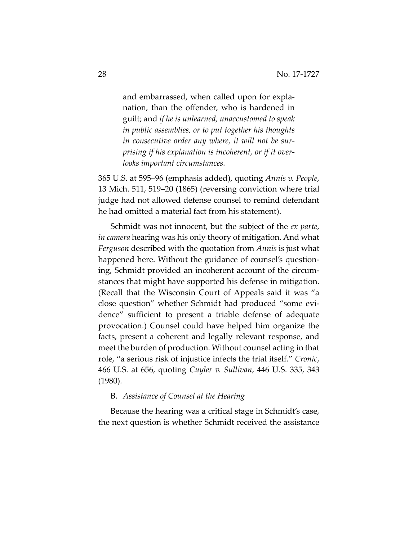and embarrassed, when called upon for explanation, than the offender, who is hardened in guilt; and *if he is unlearned, unaccustomed to speak in public assemblies, or to put together his thoughts in consecutive order any where, it will not be surprising if his explanation is incoherent, or if it overlooks important circumstances.*

365 U.S. at 595–96 (emphasis added), quoting *Annis v. People*, 13 Mich. 511, 519–20 (1865) (reversing conviction where trial judge had not allowed defense counsel to remind defendant he had omitted a material fact from his statement).

Schmidt was not innocent, but the subject of the *ex parte*, *in camera* hearing was his only theory of mitigation. And what *Ferguson* described with the quotation from *Annis* is just what happened here. Without the guidance of counsel's questioning, Schmidt provided an incoherent account of the circumstances that might have supported his defense in mitigation. (Recall that the Wisconsin Court of Appeals said it was "a close question" whether Schmidt had produced "some evidence" sufficient to present a triable defense of adequate provocation.) Counsel could have helped him organize the facts, present a coherent and legally relevant response, and meet the burden of production. Without counsel acting in that role, "a serious risk of injustice infects the trial itself." *Cronic*, 466 U.S. at 656, quoting *Cuyler v. Sullivan*, 446 U.S. 335, 343 (1980).

## B. *Assistance of Counsel at the Hearing*

Because the hearing was a critical stage in Schmidt's case, the next question is whether Schmidt received the assistance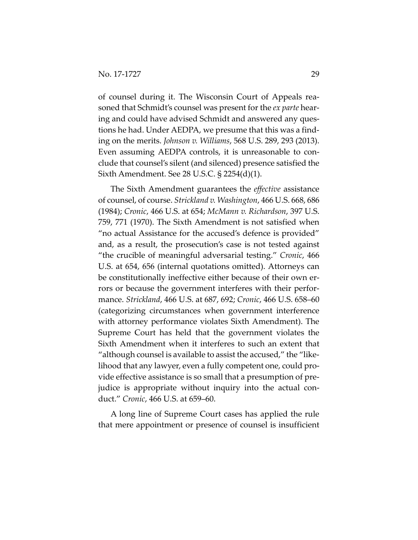of counsel during it. The Wisconsin Court of Appeals reasoned that Schmidt's counsel was present for the *ex parte* hearing and could have advised Schmidt and answered any questions he had. Under AEDPA, we presume that this was a finding on the merits. *Johnson v. Williams*, 568 U.S. 289, 293 (2013). Even assuming AEDPA controls, it is unreasonable to conclude that counsel's silent (and silenced) presence satisfied the Sixth Amendment. See 28 U.S.C. § 2254(d)(1).

The Sixth Amendment guarantees the *effective* assistance of counsel, of course. *Strickland v. Washington*, 466 U.S. 668, 686 (1984); *Cronic*, 466 U.S. at 654; *McMann v. Richardson*, 397 U.S. 759, 771 (1970). The Sixth Amendment is not satisfied when "no actual Assistance for the accused's defence is provided" and, as a result, the prosecution's case is not tested against "the crucible of meaningful adversarial testing." *Cronic*, 466 U.S. at 654, 656 (internal quotations omitted). Attorneys can be constitutionally ineffective either because of their own errors or because the government interferes with their performance. *Strickland*, 466 U.S. at 687, 692; *Cronic*, 466 U.S. 658–60 (categorizing circumstances when government interference with attorney performance violates Sixth Amendment). The Supreme Court has held that the government violates the Sixth Amendment when it interferes to such an extent that "although counsel is available to assist the accused," the "likelihood that any lawyer, even a fully competent one, could provide effective assistance is so small that a presumption of prejudice is appropriate without inquiry into the actual conduct." *Cronic*, 466 U.S. at 659–60.

A long line of Supreme Court cases has applied the rule that mere appointment or presence of counsel is insufficient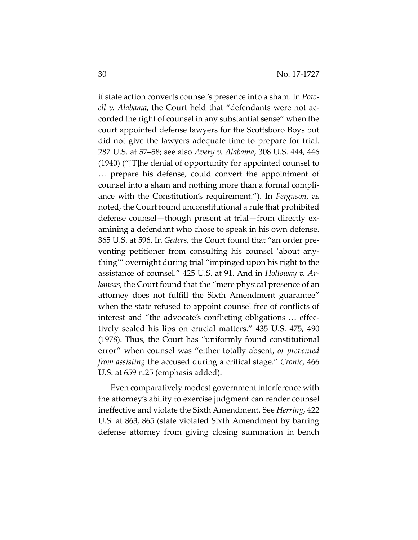if state action converts counsel's presence into a sham. In *Powell v. Alabama*, the Court held that "defendants were not accorded the right of counsel in any substantial sense" when the court appointed defense lawyers for the Scottsboro Boys but did not give the lawyers adequate time to prepare for trial. 287 U.S. at 57–58; see also *Avery v. Alabama*, 308 U.S. 444, 446 (1940) ("[T]he denial of opportunity for appointed counsel to … prepare his defense, could convert the appointment of counsel into a sham and nothing more than a formal compliance with the Constitution's requirement."). In *Ferguson*, as noted, the Court found unconstitutional a rule that prohibited defense counsel—though present at trial—from directly examining a defendant who chose to speak in his own defense. 365 U.S. at 596. In *Geders*, the Court found that "an order preventing petitioner from consulting his counsel 'about anything'" overnight during trial "impinged upon his right to the assistance of counsel." 425 U.S. at 91. And in *Holloway v. Arkansas*, the Court found that the "mere physical presence of an attorney does not fulfill the Sixth Amendment guarantee" when the state refused to appoint counsel free of conflicts of interest and "the advocate's conflicting obligations … effectively sealed his lips on crucial matters." 435 U.S. 475, 490 (1978). Thus, the Court has "uniformly found constitutional error" when counsel was "either totally absent, *or prevented from assisting* the accused during a critical stage." *Cronic*, 466 U.S. at 659 n.25 (emphasis added).

Even comparatively modest government interference with the attorney's ability to exercise judgment can render counsel ineffective and violate the Sixth Amendment. See *Herring*, 422 U.S. at 863, 865 (state violated Sixth Amendment by barring defense attorney from giving closing summation in bench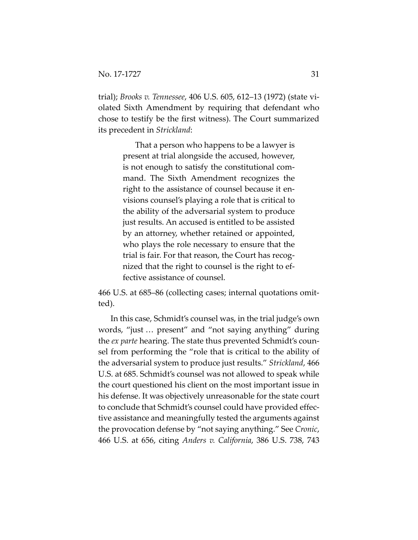trial); *Brooks v. Tennessee*, 406 U.S. 605, 612–13 (1972) (state violated Sixth Amendment by requiring that defendant who chose to testify be the first witness). The Court summarized its precedent in *Strickland*:

> That a person who happens to be a lawyer is present at trial alongside the accused, however, is not enough to satisfy the constitutional command. The Sixth Amendment recognizes the right to the assistance of counsel because it envisions counsel's playing a role that is critical to the ability of the adversarial system to produce just results. An accused is entitled to be assisted by an attorney, whether retained or appointed, who plays the role necessary to ensure that the trial is fair. For that reason, the Court has recognized that the right to counsel is the right to effective assistance of counsel.

466 U.S. at 685–86 (collecting cases; internal quotations omitted).

In this case, Schmidt's counsel was, in the trial judge's own words, "just … present" and "not saying anything" during the *ex parte* hearing. The state thus prevented Schmidt's counsel from performing the "role that is critical to the ability of the adversarial system to produce just results." *Strickland*, 466 U.S. at 685. Schmidt's counsel was not allowed to speak while the court questioned his client on the most important issue in his defense. It was objectively unreasonable for the state court to conclude that Schmidt's counsel could have provided effective assistance and meaningfully tested the arguments against the provocation defense by "not saying anything." See *Cronic*, 466 U.S. at 656, citing *Anders v. California*, 386 U.S. 738, 743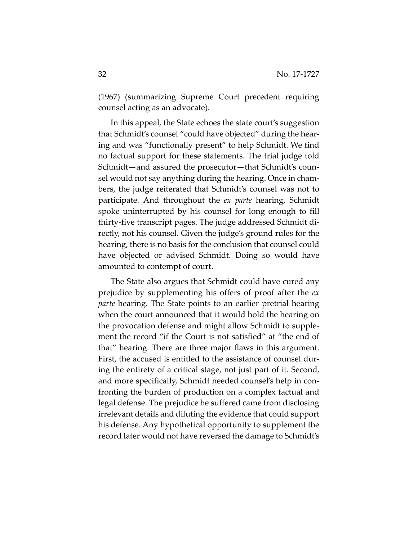(1967) (summarizing Supreme Court precedent requiring counsel acting as an advocate).

In this appeal, the State echoes the state court's suggestion that Schmidt's counsel "could have objected" during the hearing and was "functionally present" to help Schmidt. We find no factual support for these statements. The trial judge told Schmidt—and assured the prosecutor—that Schmidt's counsel would not say anything during the hearing. Once in chambers, the judge reiterated that Schmidt's counsel was not to participate. And throughout the *ex parte* hearing, Schmidt spoke uninterrupted by his counsel for long enough to fill thirty-five transcript pages. The judge addressed Schmidt directly, not his counsel. Given the judge's ground rules for the hearing, there is no basis for the conclusion that counsel could have objected or advised Schmidt. Doing so would have amounted to contempt of court.

The State also argues that Schmidt could have cured any prejudice by supplementing his offers of proof after the *ex parte* hearing. The State points to an earlier pretrial hearing when the court announced that it would hold the hearing on the provocation defense and might allow Schmidt to supplement the record "if the Court is not satisfied" at "the end of that" hearing. There are three major flaws in this argument. First, the accused is entitled to the assistance of counsel during the entirety of a critical stage, not just part of it. Second, and more specifically, Schmidt needed counsel's help in confronting the burden of production on a complex factual and legal defense. The prejudice he suffered came from disclosing irrelevant details and diluting the evidence that could support his defense. Any hypothetical opportunity to supplement the record later would not have reversed the damage to Schmidt's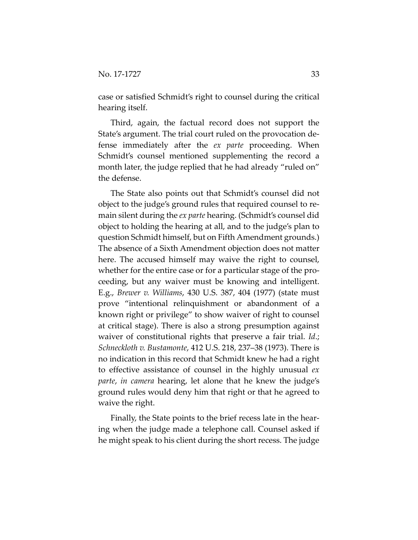case or satisfied Schmidt's right to counsel during the critical hearing itself.

Third, again, the factual record does not support the State's argument. The trial court ruled on the provocation defense immediately after the *ex parte* proceeding. When Schmidt's counsel mentioned supplementing the record a month later, the judge replied that he had already "ruled on" the defense.

The State also points out that Schmidt's counsel did not object to the judge's ground rules that required counsel to remain silent during the *ex parte* hearing. (Schmidt's counsel did object to holding the hearing at all, and to the judge's plan to question Schmidt himself, but on Fifth Amendment grounds.) The absence of a Sixth Amendment objection does not matter here. The accused himself may waive the right to counsel, whether for the entire case or for a particular stage of the proceeding, but any waiver must be knowing and intelligent. E.g., *Brewer v. Williams*, 430 U.S. 387, 404 (1977) (state must prove "intentional relinquishment or abandonment of a known right or privilege" to show waiver of right to counsel at critical stage). There is also a strong presumption against waiver of constitutional rights that preserve a fair trial. *Id*.; *Schneckloth v. Bustamonte*, 412 U.S. 218, 237–38 (1973). There is no indication in this record that Schmidt knew he had a right to effective assistance of counsel in the highly unusual *ex parte*, *in camera* hearing, let alone that he knew the judge's ground rules would deny him that right or that he agreed to waive the right.

Finally, the State points to the brief recess late in the hearing when the judge made a telephone call. Counsel asked if he might speak to his client during the short recess. The judge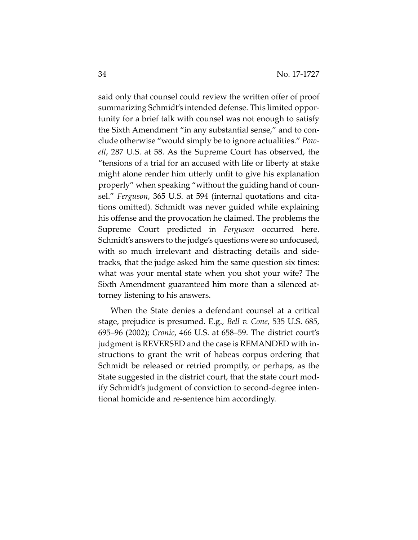said only that counsel could review the written offer of proof summarizing Schmidt's intended defense. This limited opportunity for a brief talk with counsel was not enough to satisfy the Sixth Amendment "in any substantial sense," and to conclude otherwise "would simply be to ignore actualities." *Powell*, 287 U.S. at 58. As the Supreme Court has observed, the "tensions of a trial for an accused with life or liberty at stake might alone render him utterly unfit to give his explanation properly" when speaking "without the guiding hand of counsel." *Ferguson*, 365 U.S. at 594 (internal quotations and citations omitted). Schmidt was never guided while explaining his offense and the provocation he claimed. The problems the Supreme Court predicted in *Ferguson* occurred here. Schmidt's answers to the judge's questions were so unfocused, with so much irrelevant and distracting details and sidetracks, that the judge asked him the same question six times: what was your mental state when you shot your wife? The Sixth Amendment guaranteed him more than a silenced attorney listening to his answers.

When the State denies a defendant counsel at a critical stage, prejudice is presumed. E.g., *Bell v. Cone*, 535 U.S. 685, 695–96 (2002); *Cronic*, 466 U.S. at 658–59. The district court's judgment is REVERSED and the case is REMANDED with instructions to grant the writ of habeas corpus ordering that Schmidt be released or retried promptly, or perhaps, as the State suggested in the district court, that the state court modify Schmidt's judgment of conviction to second-degree intentional homicide and re-sentence him accordingly.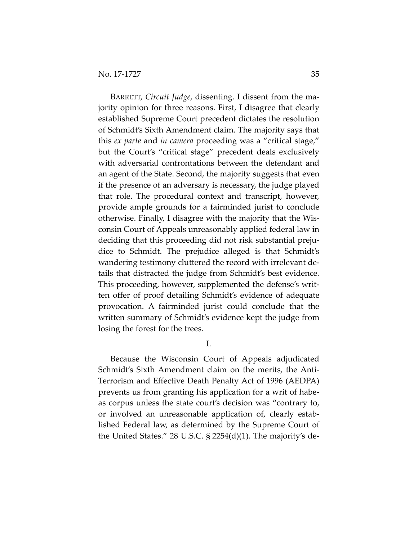BARRETT, *Circuit Judge*, dissenting. I dissent from the majority opinion for three reasons. First, I disagree that clearly established Supreme Court precedent dictates the resolution of Schmidt's Sixth Amendment claim. The majority says that this *ex parte* and *in camera* proceeding was a "critical stage," but the Court's "critical stage" precedent deals exclusively with adversarial confrontations between the defendant and an agent of the State. Second, the majority suggests that even if the presence of an adversary is necessary, the judge played that role. The procedural context and transcript, however, provide ample grounds for a fairminded jurist to conclude otherwise. Finally, I disagree with the majority that the Wisconsin Court of Appeals unreasonably applied federal law in deciding that this proceeding did not risk substantial prejudice to Schmidt. The prejudice alleged is that Schmidt's wandering testimony cluttered the record with irrelevant details that distracted the judge from Schmidt's best evidence. This proceeding, however, supplemented the defense's written offer of proof detailing Schmidt's evidence of adequate provocation. A fairminded jurist could conclude that the written summary of Schmidt's evidence kept the judge from losing the forest for the trees.

I.

Because the Wisconsin Court of Appeals adjudicated Schmidt's Sixth Amendment claim on the merits, the Anti-Terrorism and Effective Death Penalty Act of 1996 (AEDPA) prevents us from granting his application for a writ of habeas corpus unless the state court's decision was "contrary to, or involved an unreasonable application of, clearly established Federal law, as determined by the Supreme Court of the United States." 28 U.S.C. § 2254(d)(1). The majority's de-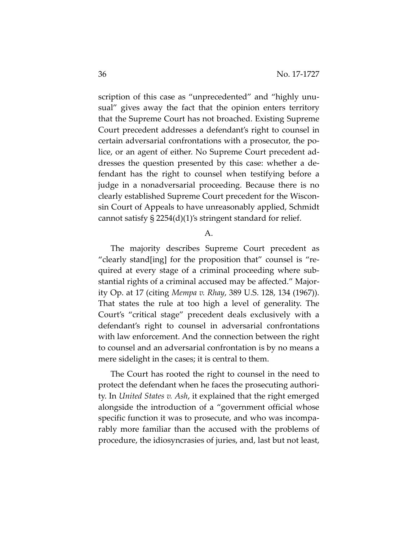scription of this case as "unprecedented" and "highly unusual" gives away the fact that the opinion enters territory that the Supreme Court has not broached. Existing Supreme Court precedent addresses a defendant's right to counsel in certain adversarial confrontations with a prosecutor, the police, or an agent of either. No Supreme Court precedent addresses the question presented by this case: whether a defendant has the right to counsel when testifying before a judge in a nonadversarial proceeding. Because there is no clearly established Supreme Court precedent for the Wisconsin Court of Appeals to have unreasonably applied, Schmidt cannot satisfy § 2254(d)(1)'s stringent standard for relief.

#### A.

The majority describes Supreme Court precedent as "clearly stand[ing] for the proposition that" counsel is "required at every stage of a criminal proceeding where substantial rights of a criminal accused may be affected." Majority Op. at 17 (citing *Mempa v. Rhay*, 389 U.S. 128, 134 (1967)). That states the rule at too high a level of generality. The Court's "critical stage" precedent deals exclusively with a defendant's right to counsel in adversarial confrontations with law enforcement. And the connection between the right to counsel and an adversarial confrontation is by no means a mere sidelight in the cases; it is central to them.

The Court has rooted the right to counsel in the need to protect the defendant when he faces the prosecuting authority. In *United States v. Ash*, it explained that the right emerged alongside the introduction of a "government official whose specific function it was to prosecute, and who was incomparably more familiar than the accused with the problems of procedure, the idiosyncrasies of juries, and, last but not least,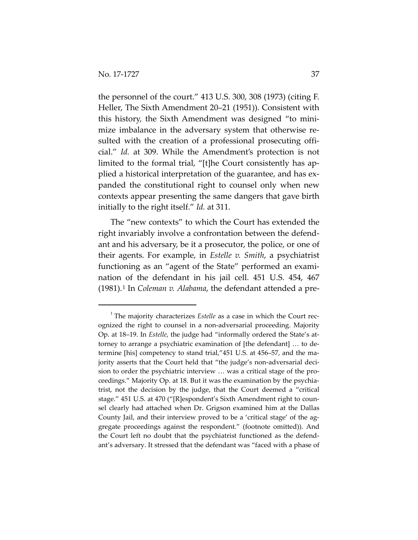the personnel of the court." 413 U.S. 300, 308 (1973) (citing F. Heller, The Sixth Amendment 20–21 (1951)). Consistent with this history, the Sixth Amendment was designed "to minimize imbalance in the adversary system that otherwise resulted with the creation of a professional prosecuting official." *Id.* at 309. While the Amendment's protection is not limited to the formal trial, "[t]he Court consistently has applied a historical interpretation of the guarantee, and has expanded the constitutional right to counsel only when new contexts appear presenting the same dangers that gave birth initially to the right itself." *Id.* at 311.

The "new contexts" to which the Court has extended the right invariably involve a confrontation between the defendant and his adversary, be it a prosecutor, the police, or one of their agents. For example, in *Estelle v. Smith*, a psychiatrist functioning as an "agent of the State" performed an examination of the defendant in his jail cell. 451 U.S. 454, 467 (1981).[1](#page-36-0) In *Coleman v. Alabama*, the defendant attended a pre-

<span id="page-36-0"></span> $\overline{\phantom{0}}$ <sup>1</sup> The majority characterizes *Estelle* as a case in which the Court recognized the right to counsel in a non-adversarial proceeding. Majority Op. at 18–19. In *Estelle*, the judge had "informally ordered the State's attorney to arrange a psychiatric examination of [the defendant] … to determine [his] competency to stand trial,"451 U.S. at 456–57, and the majority asserts that the Court held that "the judge's non-adversarial decision to order the psychiatric interview … was a critical stage of the proceedings." Majority Op. at 18. But it was the examination by the psychiatrist, not the decision by the judge, that the Court deemed a "critical stage." 451 U.S. at 470 ("[R]espondent's Sixth Amendment right to counsel clearly had attached when Dr. Grigson examined him at the Dallas County Jail, and their interview proved to be a 'critical stage' of the aggregate proceedings against the respondent." (footnote omitted)). And the Court left no doubt that the psychiatrist functioned as the defendant's adversary. It stressed that the defendant was "faced with a phase of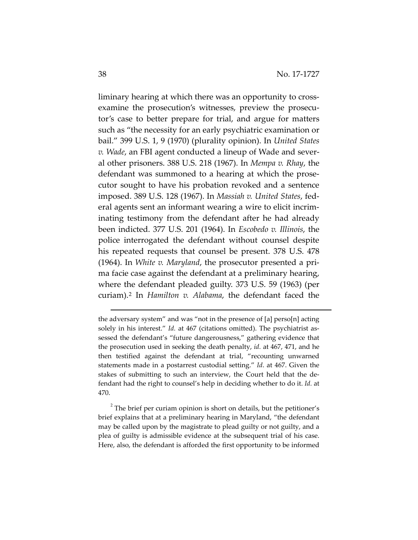liminary hearing at which there was an opportunity to crossexamine the prosecution's witnesses, preview the prosecutor's case to better prepare for trial, and argue for matters such as "the necessity for an early psychiatric examination or bail." 399 U.S. 1, 9 (1970) (plurality opinion). In *United States v. Wade*, an FBI agent conducted a lineup of Wade and several other prisoners. 388 U.S. 218 (1967). In *Mempa v. Rhay*, the defendant was summoned to a hearing at which the prosecutor sought to have his probation revoked and a sentence imposed. 389 U.S. 128 (1967). In *Massiah v. United States*, federal agents sent an informant wearing a wire to elicit incriminating testimony from the defendant after he had already been indicted. 377 U.S. 201 (1964). In *Escobedo v. Illinois*, the police interrogated the defendant without counsel despite his repeated requests that counsel be present. 378 U.S. 478 (1964). In *White v. Maryland*, the prosecutor presented a prima facie case against the defendant at a preliminary hearing, where the defendant pleaded guilty. 373 U.S. 59 (1963) (per curiam).[2](#page-37-0) In *Hamilton v. Alabama*, the defendant faced the

 $\overline{a}$ 

the adversary system" and was "not in the presence of [a] perso[n] acting solely in his interest." *Id.* at 467 (citations omitted). The psychiatrist assessed the defendant's "future dangerousness," gathering evidence that the prosecution used in seeking the death penalty, *id.* at 467, 471, and he then testified against the defendant at trial, "recounting unwarned statements made in a postarrest custodial setting." *Id*. at 467. Given the stakes of submitting to such an interview, the Court held that the defendant had the right to counsel's help in deciding whether to do it. *Id.* at 470.

<span id="page-37-0"></span> $2^2$  The brief per curiam opinion is short on details, but the petitioner's brief explains that at a preliminary hearing in Maryland, "the defendant may be called upon by the magistrate to plead guilty or not guilty, and a plea of guilty is admissible evidence at the subsequent trial of his case. Here, also, the defendant is afforded the first opportunity to be informed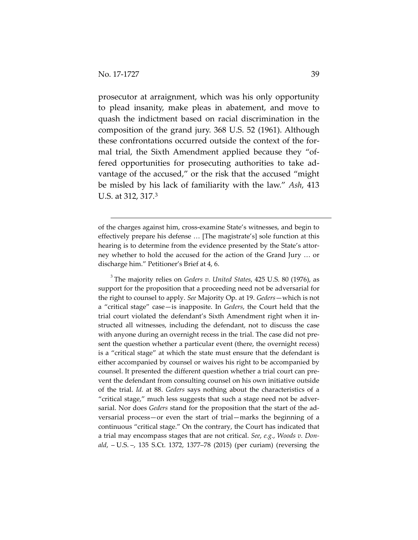$\overline{a}$ 

prosecutor at arraignment, which was his only opportunity to plead insanity, make pleas in abatement, and move to quash the indictment based on racial discrimination in the composition of the grand jury. 368 U.S. 52 (1961). Although these confrontations occurred outside the context of the formal trial, the Sixth Amendment applied because they "offered opportunities for prosecuting authorities to take advantage of the accused," or the risk that the accused "might be misled by his lack of familiarity with the law." *Ash*, 413 U.S. at 312, 317.[3](#page-38-0)

<span id="page-38-0"></span>3 The majority relies on *Geders v. United States*, 425 U.S. 80 (1976), as support for the proposition that a proceeding need not be adversarial for the right to counsel to apply. *See* Majority Op. at 19. *Geders*—which is not a "critical stage" case—is inapposite. In *Geders*, the Court held that the trial court violated the defendant's Sixth Amendment right when it instructed all witnesses, including the defendant, not to discuss the case with anyone during an overnight recess in the trial. The case did not present the question whether a particular event (there, the overnight recess) is a "critical stage" at which the state must ensure that the defendant is either accompanied by counsel or waives his right to be accompanied by counsel. It presented the different question whether a trial court can prevent the defendant from consulting counsel on his own initiative outside of the trial. *Id.* at 88. *Geders* says nothing about the characteristics of a "critical stage," much less suggests that such a stage need not be adversarial. Nor does *Geders* stand for the proposition that the start of the adversarial process—or even the start of trial—marks the beginning of a continuous "critical stage." On the contrary, the Court has indicated that a trial may encompass stages that are not critical. *See*, *e.g.*, *Woods v. Donald*, – U.S. –, 135 S.Ct. 1372, 1377–78 (2015) (per curiam) (reversing the

of the charges against him, cross-examine State's witnesses, and begin to effectively prepare his defense … [The magistrate's] sole function at this hearing is to determine from the evidence presented by the State's attorney whether to hold the accused for the action of the Grand Jury … or discharge him." Petitioner's Brief at 4, 6.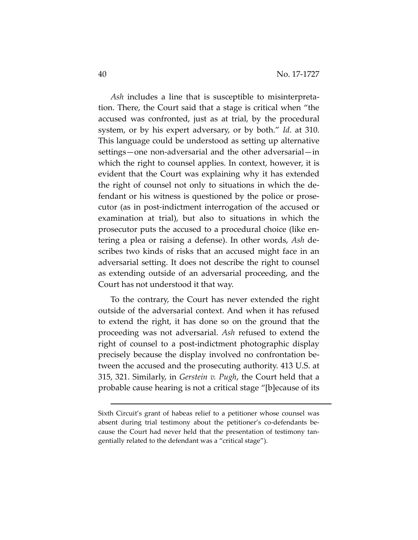*Ash* includes a line that is susceptible to misinterpretation. There, the Court said that a stage is critical when "the accused was confronted, just as at trial, by the procedural system, or by his expert adversary, or by both." *Id*. at 310. This language could be understood as setting up alternative settings—one non-adversarial and the other adversarial—in which the right to counsel applies. In context, however, it is evident that the Court was explaining why it has extended the right of counsel not only to situations in which the defendant or his witness is questioned by the police or prosecutor (as in post-indictment interrogation of the accused or examination at trial), but also to situations in which the prosecutor puts the accused to a procedural choice (like entering a plea or raising a defense). In other words, *Ash* describes two kinds of risks that an accused might face in an adversarial setting. It does not describe the right to counsel as extending outside of an adversarial proceeding, and the Court has not understood it that way.

To the contrary, the Court has never extended the right outside of the adversarial context. And when it has refused to extend the right, it has done so on the ground that the proceeding was not adversarial. *Ash* refused to extend the right of counsel to a post-indictment photographic display precisely because the display involved no confrontation between the accused and the prosecuting authority. 413 U.S. at 315, 321. Similarly, in *Gerstein v. Pugh*, the Court held that a probable cause hearing is not a critical stage "[b]ecause of its

 $\overline{a}$ 

Sixth Circuit's grant of habeas relief to a petitioner whose counsel was absent during trial testimony about the petitioner's co-defendants because the Court had never held that the presentation of testimony tangentially related to the defendant was a "critical stage").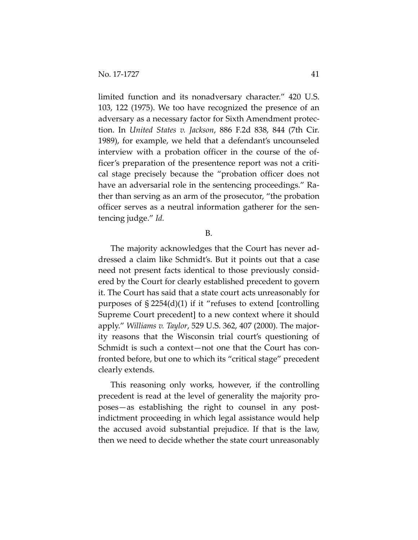limited function and its nonadversary character." 420 U.S. 103, 122 (1975). We too have recognized the presence of an adversary as a necessary factor for Sixth Amendment protection. In *United States v. Jackson*, 886 F.2d 838, 844 (7th Cir. 1989), for example, we held that a defendant's uncounseled interview with a probation officer in the course of the officer's preparation of the presentence report was not a critical stage precisely because the "probation officer does not have an adversarial role in the sentencing proceedings." Rather than serving as an arm of the prosecutor, "the probation officer serves as a neutral information gatherer for the sentencing judge." *Id.*

B.

The majority acknowledges that the Court has never addressed a claim like Schmidt's. But it points out that a case need not present facts identical to those previously considered by the Court for clearly established precedent to govern it. The Court has said that a state court acts unreasonably for purposes of  $\S 2254(d)(1)$  if it "refuses to extend [controlling] Supreme Court precedent] to a new context where it should apply." *Williams v. Taylor*, 529 U.S. 362, 407 (2000). The majority reasons that the Wisconsin trial court's questioning of Schmidt is such a context—not one that the Court has confronted before, but one to which its "critical stage" precedent clearly extends.

This reasoning only works, however, if the controlling precedent is read at the level of generality the majority proposes—as establishing the right to counsel in any postindictment proceeding in which legal assistance would help the accused avoid substantial prejudice. If that is the law, then we need to decide whether the state court unreasonably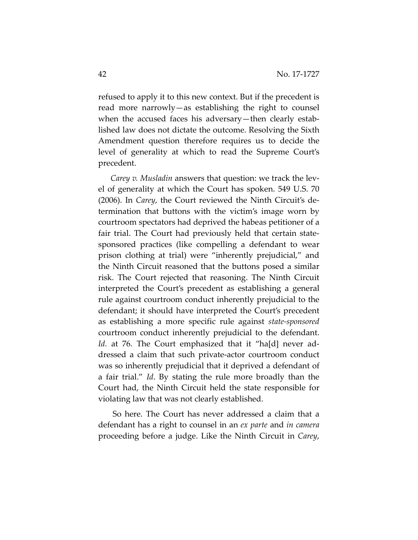refused to apply it to this new context. But if the precedent is read more narrowly—as establishing the right to counsel when the accused faces his adversary—then clearly established law does not dictate the outcome. Resolving the Sixth Amendment question therefore requires us to decide the level of generality at which to read the Supreme Court's precedent.

*Carey v. Musladin* answers that question: we track the level of generality at which the Court has spoken. 549 U.S. 70 (2006). In *Carey*, the Court reviewed the Ninth Circuit's determination that buttons with the victim's image worn by courtroom spectators had deprived the habeas petitioner of a fair trial. The Court had previously held that certain statesponsored practices (like compelling a defendant to wear prison clothing at trial) were "inherently prejudicial," and the Ninth Circuit reasoned that the buttons posed a similar risk. The Court rejected that reasoning. The Ninth Circuit interpreted the Court's precedent as establishing a general rule against courtroom conduct inherently prejudicial to the defendant; it should have interpreted the Court's precedent as establishing a more specific rule against *state-sponsored* courtroom conduct inherently prejudicial to the defendant. *Id.* at 76. The Court emphasized that it "ha[d] never addressed a claim that such private-actor courtroom conduct was so inherently prejudicial that it deprived a defendant of a fair trial." *Id*. By stating the rule more broadly than the Court had, the Ninth Circuit held the state responsible for violating law that was not clearly established.

So here. The Court has never addressed a claim that a defendant has a right to counsel in an *ex parte* and *in camera*  proceeding before a judge. Like the Ninth Circuit in *Carey*,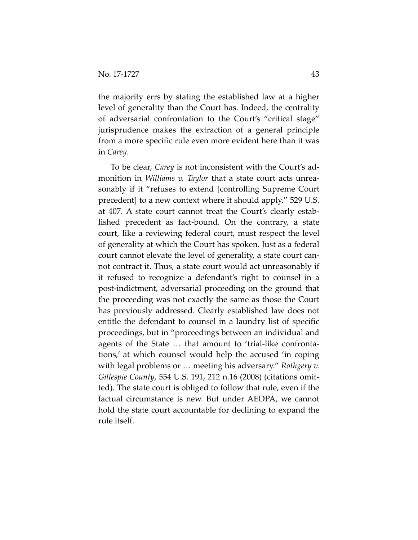the majority errs by stating the established law at a higher level of generality than the Court has. Indeed, the centrality of adversarial confrontation to the Court's "critical stage" jurisprudence makes the extraction of a general principle from a more specific rule even more evident here than it was in *Carey*.

To be clear, *Carey* is not inconsistent with the Court's admonition in *Williams v. Taylor* that a state court acts unreasonably if it "refuses to extend [controlling Supreme Court precedent] to a new context where it should apply." 529 U.S. at 407. A state court cannot treat the Court's clearly established precedent as fact-bound. On the contrary, a state court, like a reviewing federal court, must respect the level of generality at which the Court has spoken. Just as a federal court cannot elevate the level of generality, a state court cannot contract it. Thus, a state court would act unreasonably if it refused to recognize a defendant's right to counsel in a post-indictment, adversarial proceeding on the ground that the proceeding was not exactly the same as those the Court has previously addressed. Clearly established law does not entitle the defendant to counsel in a laundry list of specific proceedings, but in "proceedings between an individual and agents of the State … that amount to 'trial-like confrontations,' at which counsel would help the accused 'in coping with legal problems or … meeting his adversary." *Rothgery v. Gillespie County*, 554 U.S. 191, 212 n.16 (2008) (citations omitted). The state court is obliged to follow that rule, even if the factual circumstance is new. But under AEDPA, we cannot hold the state court accountable for declining to expand the rule itself.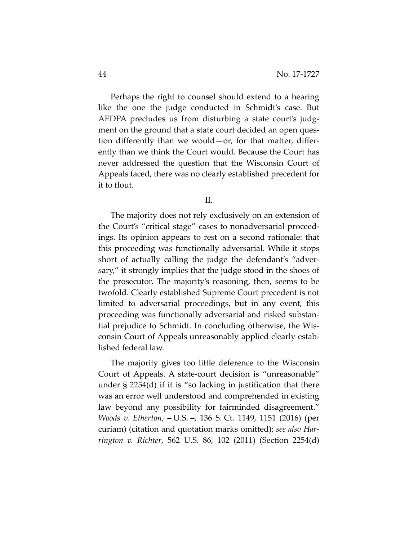Perhaps the right to counsel should extend to a hearing like the one the judge conducted in Schmidt's case. But AEDPA precludes us from disturbing a state court's judgment on the ground that a state court decided an open question differently than we would—or, for that matter, differently than we think the Court would. Because the Court has never addressed the question that the Wisconsin Court of Appeals faced, there was no clearly established precedent for it to flout.

II.

The majority does not rely exclusively on an extension of the Court's "critical stage" cases to nonadversarial proceedings. Its opinion appears to rest on a second rationale: that this proceeding was functionally adversarial. While it stops short of actually calling the judge the defendant's "adversary," it strongly implies that the judge stood in the shoes of the prosecutor. The majority's reasoning, then, seems to be twofold. Clearly established Supreme Court precedent is not limited to adversarial proceedings, but in any event, this proceeding was functionally adversarial and risked substantial prejudice to Schmidt. In concluding otherwise, the Wisconsin Court of Appeals unreasonably applied clearly established federal law.

The majority gives too little deference to the Wisconsin Court of Appeals. A state-court decision is "unreasonable" under § 2254(d) if it is "so lacking in justification that there was an error well understood and comprehended in existing law beyond any possibility for fairminded disagreement." *Woods v. Etherton*, – U.S. –, 136 S. Ct. 1149, 1151 (2016) (per curiam) (citation and quotation marks omitted); *see also Harrington v. Richter*, 562 U.S. 86, 102 (2011) (Section 2254(d)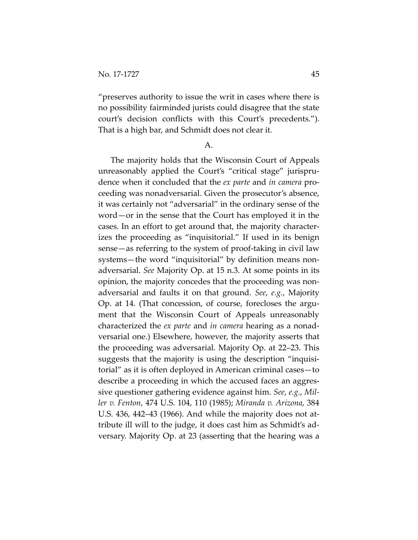"preserves authority to issue the writ in cases where there is no possibility fairminded jurists could disagree that the state court's decision conflicts with this Court's precedents."). That is a high bar, and Schmidt does not clear it.

A.

The majority holds that the Wisconsin Court of Appeals unreasonably applied the Court's "critical stage" jurisprudence when it concluded that the *ex parte* and *in camera* proceeding was nonadversarial. Given the prosecutor's absence, it was certainly not "adversarial" in the ordinary sense of the word—or in the sense that the Court has employed it in the cases. In an effort to get around that, the majority characterizes the proceeding as "inquisitorial." If used in its benign sense—as referring to the system of proof-taking in civil law systems—the word "inquisitorial" by definition means nonadversarial. *See* Majority Op. at 15 n.3. At some points in its opinion, the majority concedes that the proceeding was nonadversarial and faults it on that ground. *See*, *e.g.*, Majority Op. at 14. (That concession, of course, forecloses the argument that the Wisconsin Court of Appeals unreasonably characterized the *ex parte* and *in camera* hearing as a nonadversarial one.) Elsewhere, however, the majority asserts that the proceeding was adversarial. Majority Op. at 22–23. This suggests that the majority is using the description "inquisitorial" as it is often deployed in American criminal cases—to describe a proceeding in which the accused faces an aggressive questioner gathering evidence against him. *See*, *e.g*., *Miller v. Fenton*, 474 U.S. 104, 110 (1985); *Miranda v. Arizona*, 384 U.S. 436, 442–43 (1966). And while the majority does not attribute ill will to the judge, it does cast him as Schmidt's adversary. Majority Op. at 23 (asserting that the hearing was a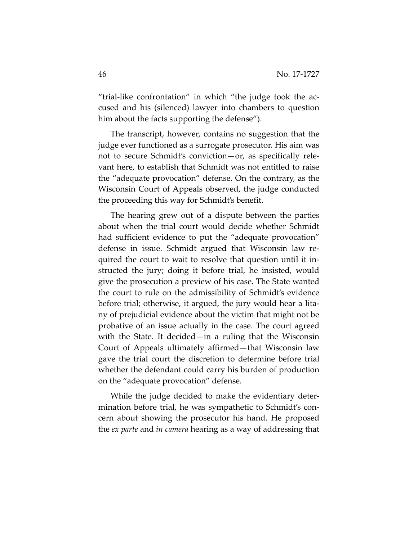"trial-like confrontation" in which "the judge took the accused and his (silenced) lawyer into chambers to question him about the facts supporting the defense").

The transcript, however, contains no suggestion that the judge ever functioned as a surrogate prosecutor. His aim was not to secure Schmidt's conviction—or, as specifically relevant here, to establish that Schmidt was not entitled to raise the "adequate provocation" defense. On the contrary, as the Wisconsin Court of Appeals observed, the judge conducted the proceeding this way for Schmidt's benefit.

The hearing grew out of a dispute between the parties about when the trial court would decide whether Schmidt had sufficient evidence to put the "adequate provocation" defense in issue. Schmidt argued that Wisconsin law required the court to wait to resolve that question until it instructed the jury; doing it before trial, he insisted, would give the prosecution a preview of his case. The State wanted the court to rule on the admissibility of Schmidt's evidence before trial; otherwise, it argued, the jury would hear a litany of prejudicial evidence about the victim that might not be probative of an issue actually in the case. The court agreed with the State. It decided—in a ruling that the Wisconsin Court of Appeals ultimately affirmed—that Wisconsin law gave the trial court the discretion to determine before trial whether the defendant could carry his burden of production on the "adequate provocation" defense.

While the judge decided to make the evidentiary determination before trial, he was sympathetic to Schmidt's concern about showing the prosecutor his hand. He proposed the *ex parte* and *in camera* hearing as a way of addressing that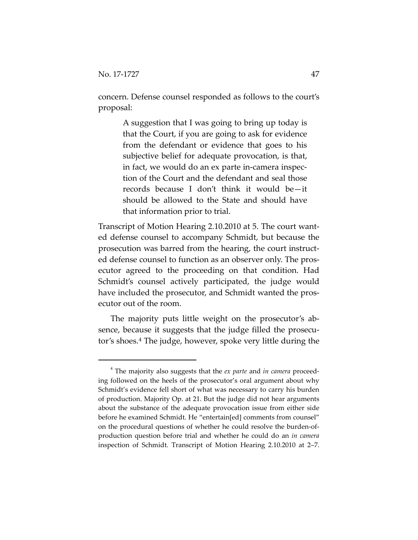concern. Defense counsel responded as follows to the court's proposal:

> A suggestion that I was going to bring up today is that the Court, if you are going to ask for evidence from the defendant or evidence that goes to his subjective belief for adequate provocation, is that, in fact, we would do an ex parte in-camera inspection of the Court and the defendant and seal those records because I don't think it would be—it should be allowed to the State and should have that information prior to trial.

Transcript of Motion Hearing 2.10.2010 at 5. The court wanted defense counsel to accompany Schmidt, but because the prosecution was barred from the hearing, the court instructed defense counsel to function as an observer only. The prosecutor agreed to the proceeding on that condition. Had Schmidt's counsel actively participated, the judge would have included the prosecutor, and Schmidt wanted the prosecutor out of the room.

The majority puts little weight on the prosecutor's absence, because it suggests that the judge filled the prosecutor's shoes.[4](#page-46-0) The judge, however, spoke very little during the

<span id="page-46-0"></span> <sup>4</sup> The majority also suggests that the *ex parte* and *in camera* proceeding followed on the heels of the prosecutor's oral argument about why Schmidt's evidence fell short of what was necessary to carry his burden of production. Majority Op. at 21. But the judge did not hear arguments about the substance of the adequate provocation issue from either side before he examined Schmidt. He "entertain[ed] comments from counsel" on the procedural questions of whether he could resolve the burden-ofproduction question before trial and whether he could do an *in camera* inspection of Schmidt. Transcript of Motion Hearing 2.10.2010 at 2–7.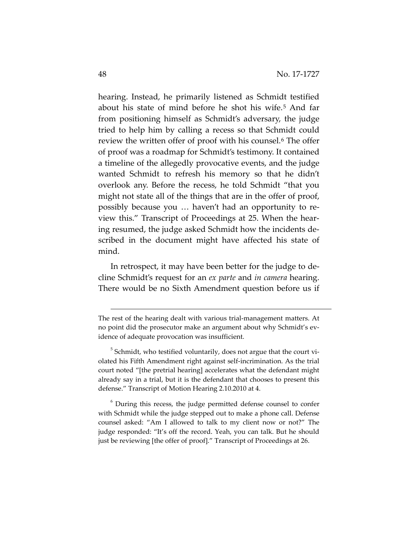hearing. Instead, he primarily listened as Schmidt testified about his state of mind before he shot his wife.[5](#page-47-0) And far from positioning himself as Schmidt's adversary, the judge tried to help him by calling a recess so that Schmidt could review the written offer of proof with his counsel.<sup>[6](#page-47-1)</sup> The offer of proof was a roadmap for Schmidt's testimony. It contained a timeline of the allegedly provocative events, and the judge wanted Schmidt to refresh his memory so that he didn't overlook any. Before the recess, he told Schmidt "that you might not state all of the things that are in the offer of proof, possibly because you … haven't had an opportunity to review this." Transcript of Proceedings at 25. When the hearing resumed, the judge asked Schmidt how the incidents described in the document might have affected his state of mind.

In retrospect, it may have been better for the judge to decline Schmidt's request for an *ex parte* and *in camera* hearing. There would be no Sixth Amendment question before us if

<span id="page-47-1"></span><sup>6</sup> During this recess, the judge permitted defense counsel to confer with Schmidt while the judge stepped out to make a phone call. Defense counsel asked: "Am I allowed to talk to my client now or not?" The judge responded: "It's off the record. Yeah, you can talk. But he should just be reviewing [the offer of proof]." Transcript of Proceedings at 26.

 $\overline{a}$ 

The rest of the hearing dealt with various trial-management matters. At no point did the prosecutor make an argument about why Schmidt's evidence of adequate provocation was insufficient.

<span id="page-47-0"></span> $5$  Schmidt, who testified voluntarily, does not argue that the court violated his Fifth Amendment right against self-incrimination. As the trial court noted "[the pretrial hearing] accelerates what the defendant might already say in a trial, but it is the defendant that chooses to present this defense." Transcript of Motion Hearing 2.10.2010 at 4.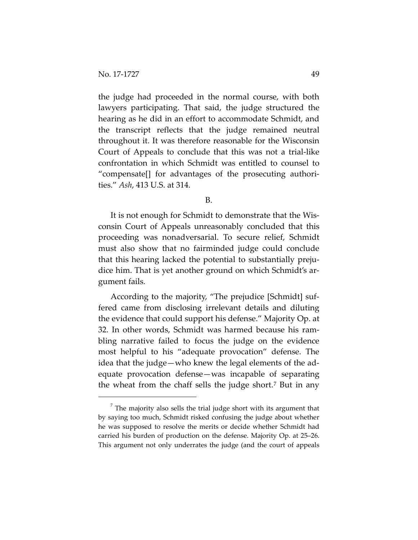the judge had proceeded in the normal course, with both lawyers participating. That said, the judge structured the hearing as he did in an effort to accommodate Schmidt, and the transcript reflects that the judge remained neutral throughout it. It was therefore reasonable for the Wisconsin Court of Appeals to conclude that this was not a trial-like confrontation in which Schmidt was entitled to counsel to "compensate[] for advantages of the prosecuting authorities." *Ash*, 413 U.S. at 314.

B.

It is not enough for Schmidt to demonstrate that the Wisconsin Court of Appeals unreasonably concluded that this proceeding was nonadversarial. To secure relief, Schmidt must also show that no fairminded judge could conclude that this hearing lacked the potential to substantially prejudice him. That is yet another ground on which Schmidt's argument fails.

According to the majority, "The prejudice [Schmidt] suffered came from disclosing irrelevant details and diluting the evidence that could support his defense." Majority Op. at 32. In other words, Schmidt was harmed because his rambling narrative failed to focus the judge on the evidence most helpful to his "adequate provocation" defense. The idea that the judge—who knew the legal elements of the adequate provocation defense—was incapable of separating the wheat from the chaff sells the judge short.[7](#page-48-0) But in any

<span id="page-48-0"></span> $<sup>7</sup>$  The majority also sells the trial judge short with its argument that</sup> by saying too much, Schmidt risked confusing the judge about whether he was supposed to resolve the merits or decide whether Schmidt had carried his burden of production on the defense. Majority Op. at 25–26. This argument not only underrates the judge (and the court of appeals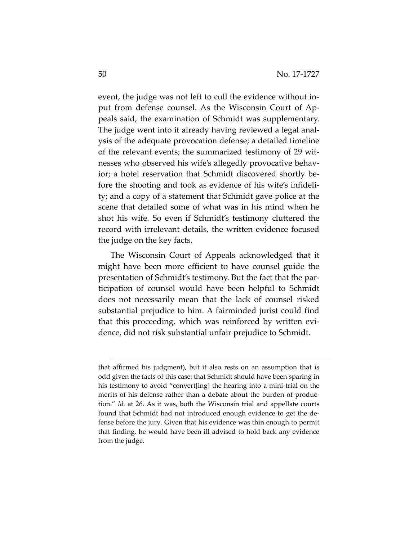event, the judge was not left to cull the evidence without input from defense counsel. As the Wisconsin Court of Appeals said, the examination of Schmidt was supplementary. The judge went into it already having reviewed a legal analysis of the adequate provocation defense; a detailed timeline of the relevant events; the summarized testimony of 29 witnesses who observed his wife's allegedly provocative behavior; a hotel reservation that Schmidt discovered shortly before the shooting and took as evidence of his wife's infidelity; and a copy of a statement that Schmidt gave police at the scene that detailed some of what was in his mind when he shot his wife. So even if Schmidt's testimony cluttered the record with irrelevant details, the written evidence focused the judge on the key facts.

The Wisconsin Court of Appeals acknowledged that it might have been more efficient to have counsel guide the presentation of Schmidt's testimony. But the fact that the participation of counsel would have been helpful to Schmidt does not necessarily mean that the lack of counsel risked substantial prejudice to him. A fairminded jurist could find that this proceeding, which was reinforced by written evidence, did not risk substantial unfair prejudice to Schmidt.

 $\overline{a}$ 

that affirmed his judgment), but it also rests on an assumption that is odd given the facts of this case: that Schmidt should have been sparing in his testimony to avoid "convert[ing] the hearing into a mini-trial on the merits of his defense rather than a debate about the burden of production." *Id.* at 26. As it was, both the Wisconsin trial and appellate courts found that Schmidt had not introduced enough evidence to get the defense before the jury. Given that his evidence was thin enough to permit that finding, he would have been ill advised to hold back any evidence from the judge.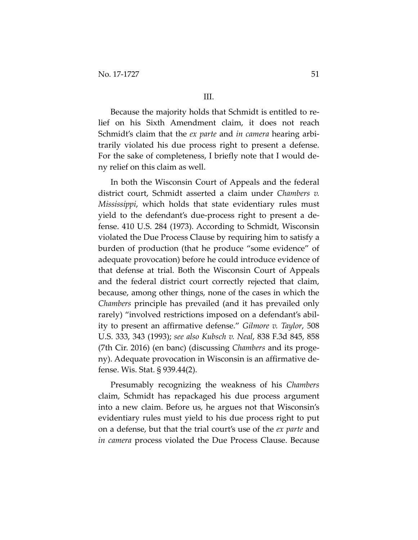Because the majority holds that Schmidt is entitled to relief on his Sixth Amendment claim, it does not reach Schmidt's claim that the *ex parte* and *in camera* hearing arbitrarily violated his due process right to present a defense. For the sake of completeness, I briefly note that I would deny relief on this claim as well.

In both the Wisconsin Court of Appeals and the federal district court, Schmidt asserted a claim under *Chambers v. Mississippi*, which holds that state evidentiary rules must yield to the defendant's due-process right to present a defense. 410 U.S. 284 (1973). According to Schmidt, Wisconsin violated the Due Process Clause by requiring him to satisfy a burden of production (that he produce "some evidence" of adequate provocation) before he could introduce evidence of that defense at trial. Both the Wisconsin Court of Appeals and the federal district court correctly rejected that claim, because, among other things, none of the cases in which the *Chambers* principle has prevailed (and it has prevailed only rarely) "involved restrictions imposed on a defendant's ability to present an affirmative defense." *Gilmore v. Taylor*, 508 U.S. 333, 343 (1993); *see also Kubsch v. Neal*, 838 F.3d 845, 858 (7th Cir. 2016) (en banc) (discussing *Chambers* and its progeny). Adequate provocation in Wisconsin is an affirmative defense. Wis. Stat. § 939.44(2).

Presumably recognizing the weakness of his *Chambers*  claim, Schmidt has repackaged his due process argument into a new claim. Before us, he argues not that Wisconsin's evidentiary rules must yield to his due process right to put on a defense, but that the trial court's use of the *ex parte* and *in camera* process violated the Due Process Clause. Because